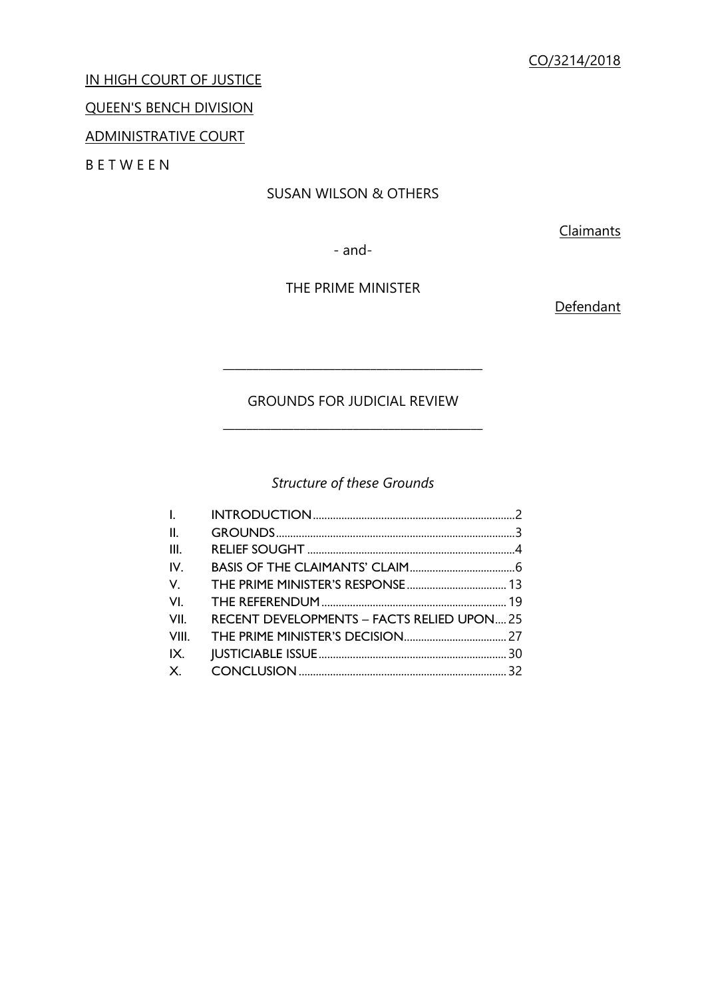IN HIGH COURT OF JUSTICE

# QUEEN'S BENCH DIVISION

# ADMINISTRATIVE COURT

B E T W E E N

# SUSAN WILSON & OTHERS

**Claimants** 

- and-

# THE PRIME MINISTER

**Defendant** 

# GROUNDS FOR JUDICIAL REVIEW \_\_\_\_\_\_\_\_\_\_\_\_\_\_\_\_\_\_\_\_\_\_\_\_\_\_\_\_\_\_\_\_\_\_\_\_\_\_\_\_\_\_\_\_

\_\_\_\_\_\_\_\_\_\_\_\_\_\_\_\_\_\_\_\_\_\_\_\_\_\_\_\_\_\_\_\_\_\_\_\_\_\_\_\_\_\_\_\_

# *Structure of these Grounds*

| l.                                                        |  |
|-----------------------------------------------------------|--|
| II.                                                       |  |
| III.                                                      |  |
| IV.                                                       |  |
| V.                                                        |  |
| VI.                                                       |  |
| VII.<br><b>RECENT DEVELOPMENTS - FACTS RELIED UPON 25</b> |  |
| VIII.                                                     |  |
| IX.                                                       |  |
|                                                           |  |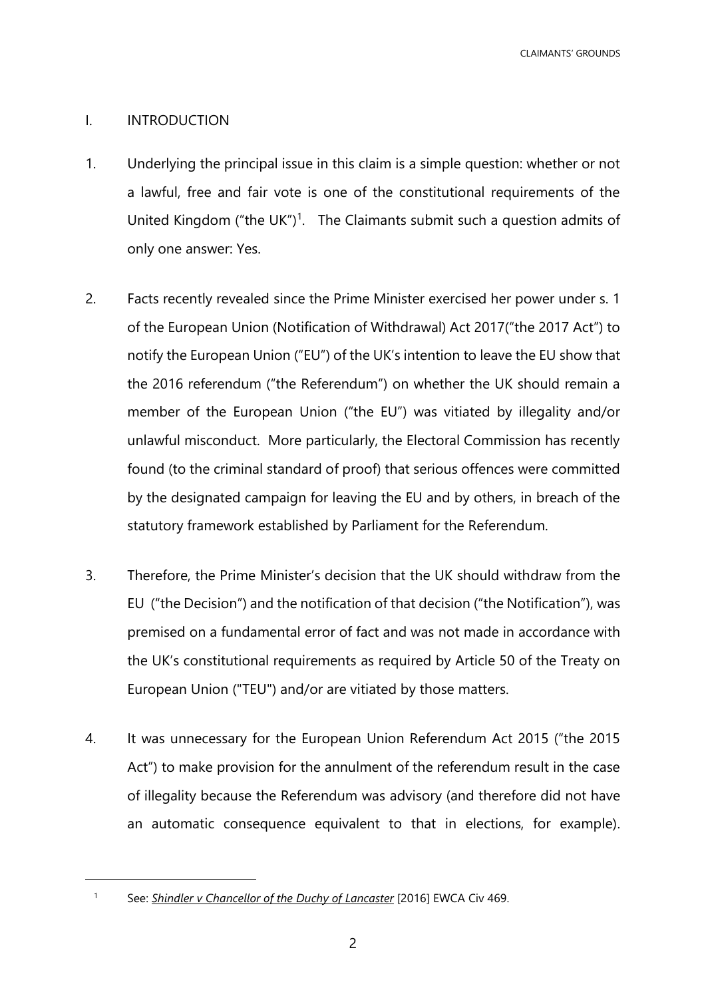CLAIMANTS' GROUNDS

# <span id="page-1-0"></span>I. INTRODUCTION

- 1. Underlying the principal issue in this claim is a simple question: whether or not a lawful, free and fair vote is one of the constitutional requirements of the United Kingdom ("the UK")<sup>1</sup>. The Claimants submit such a question admits of only one answer: Yes.
- 2. Facts recently revealed since the Prime Minister exercised her power under s. 1 of the European Union (Notification of Withdrawal) Act 2017("the 2017 Act") to notify the European Union ("EU") of the UK's intention to leave the EU show that the 2016 referendum ("the Referendum") on whether the UK should remain a member of the European Union ("the EU") was vitiated by illegality and/or unlawful misconduct. More particularly, the Electoral Commission has recently found (to the criminal standard of proof) that serious offences were committed by the designated campaign for leaving the EU and by others, in breach of the statutory framework established by Parliament for the Referendum.
- 3. Therefore, the Prime Minister's decision that the UK should withdraw from the EU ("the Decision") and the notification of that decision ("the Notification"), was premised on a fundamental error of fact and was not made in accordance with the UK's constitutional requirements as required by Article 50 of the Treaty on European Union ("TEU") and/or are vitiated by those matters.
- 4. It was unnecessary for the European Union Referendum Act 2015 ("the 2015 Act") to make provision for the annulment of the referendum result in the case of illegality because the Referendum was advisory (and therefore did not have an automatic consequence equivalent to that in elections, for example).

 $\overline{a}$ 

<sup>1</sup> See: *Shindler v Chancellor of the Duchy of Lancaster* [2016] EWCA Civ 469.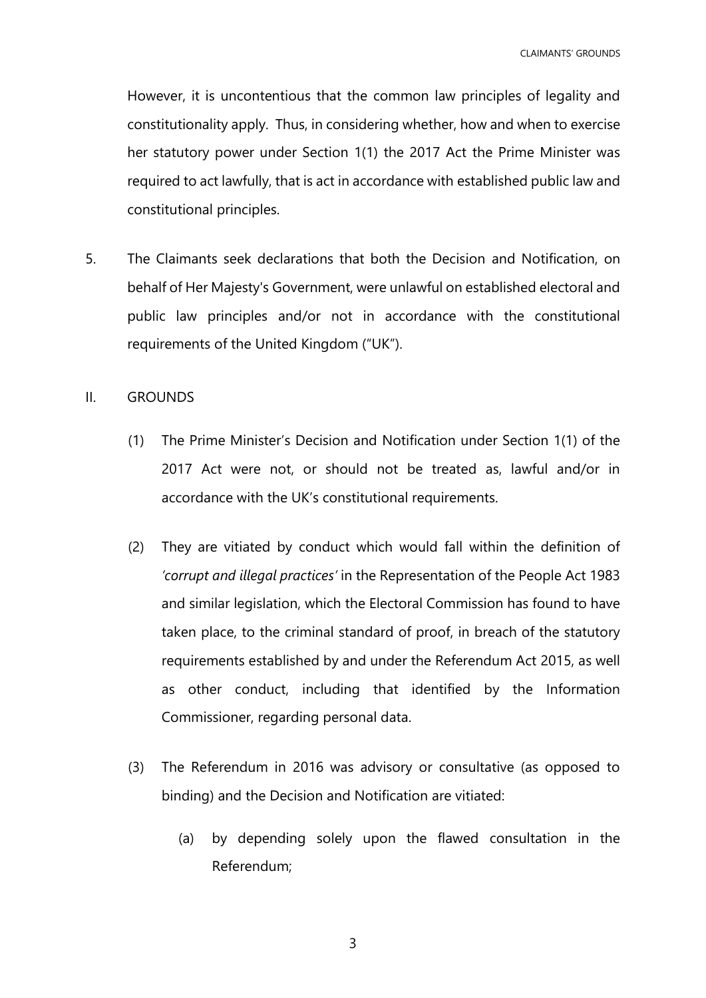However, it is uncontentious that the common law principles of legality and constitutionality apply. Thus, in considering whether, how and when to exercise her statutory power under Section 1(1) the 2017 Act the Prime Minister was required to act lawfully, that is act in accordance with established public law and constitutional principles.

5. The Claimants seek declarations that both the Decision and Notification, on behalf of Her Majesty's Government, were unlawful on established electoral and public law principles and/or not in accordance with the constitutional requirements of the United Kingdom ("UK").

## <span id="page-2-0"></span>II. GROUNDS

- (1) The Prime Minister's Decision and Notification under Section 1(1) of the 2017 Act were not, or should not be treated as, lawful and/or in accordance with the UK's constitutional requirements.
- (2) They are vitiated by conduct which would fall within the definition of *'corrupt and illegal practices'* in the Representation of the People Act 1983 and similar legislation, which the Electoral Commission has found to have taken place, to the criminal standard of proof, in breach of the statutory requirements established by and under the Referendum Act 2015, as well as other conduct, including that identified by the Information Commissioner, regarding personal data.
- (3) The Referendum in 2016 was advisory or consultative (as opposed to binding) and the Decision and Notification are vitiated:
	- (a) by depending solely upon the flawed consultation in the Referendum;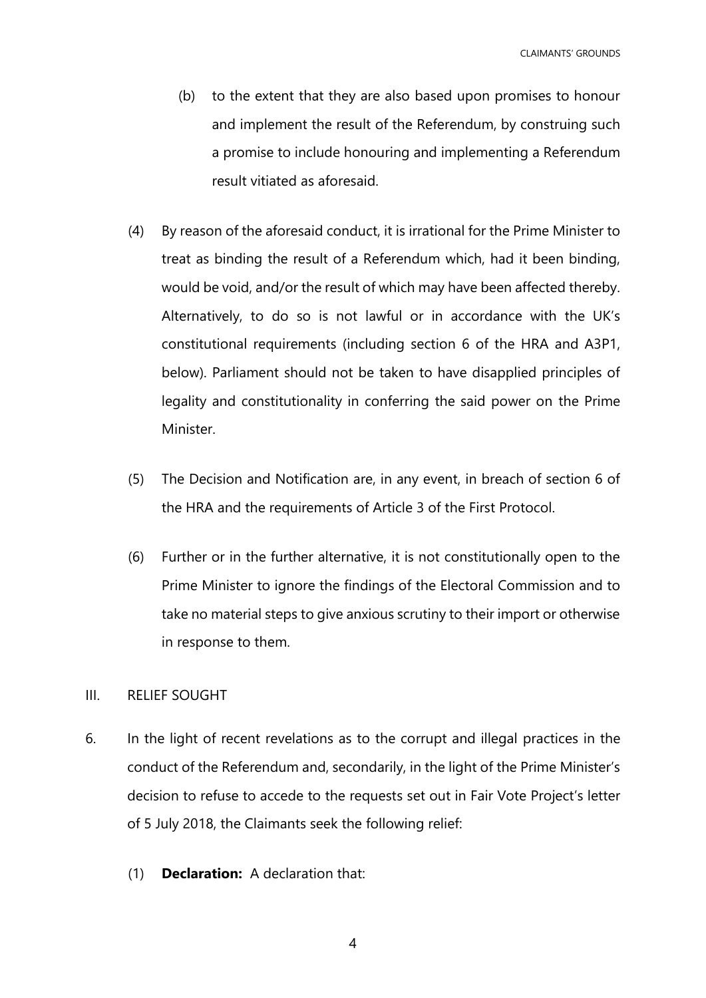- (b) to the extent that they are also based upon promises to honour and implement the result of the Referendum, by construing such a promise to include honouring and implementing a Referendum result vitiated as aforesaid.
- (4) By reason of the aforesaid conduct, it is irrational for the Prime Minister to treat as binding the result of a Referendum which, had it been binding, would be void, and/or the result of which may have been affected thereby. Alternatively, to do so is not lawful or in accordance with the UK's constitutional requirements (including section 6 of the HRA and A3P1, below). Parliament should not be taken to have disapplied principles of legality and constitutionality in conferring the said power on the Prime Minister.
- (5) The Decision and Notification are, in any event, in breach of section 6 of the HRA and the requirements of Article 3 of the First Protocol.
- (6) Further or in the further alternative, it is not constitutionally open to the Prime Minister to ignore the findings of the Electoral Commission and to take no material steps to give anxious scrutiny to their import or otherwise in response to them.

# <span id="page-3-0"></span>III. RELIEF SOUGHT

- 6. In the light of recent revelations as to the corrupt and illegal practices in the conduct of the Referendum and, secondarily, in the light of the Prime Minister's decision to refuse to accede to the requests set out in Fair Vote Project's letter of 5 July 2018, the Claimants seek the following relief:
	- (1) **Declaration:** A declaration that: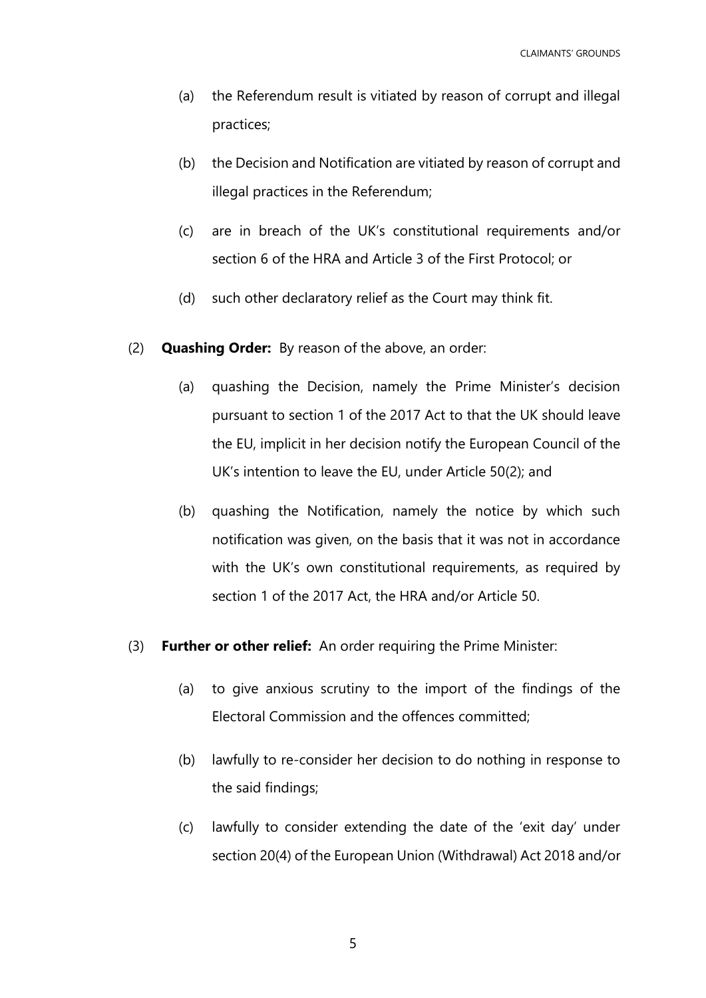- (a) the Referendum result is vitiated by reason of corrupt and illegal practices;
- (b) the Decision and Notification are vitiated by reason of corrupt and illegal practices in the Referendum;
- (c) are in breach of the UK's constitutional requirements and/or section 6 of the HRA and Article 3 of the First Protocol; or
- (d) such other declaratory relief as the Court may think fit.
- (2) **Quashing Order:** By reason of the above, an order:
	- (a) quashing the Decision, namely the Prime Minister's decision pursuant to section 1 of the 2017 Act to that the UK should leave the EU, implicit in her decision notify the European Council of the UK's intention to leave the EU, under Article 50(2); and
	- (b) quashing the Notification, namely the notice by which such notification was given, on the basis that it was not in accordance with the UK's own constitutional requirements, as required by section 1 of the 2017 Act, the HRA and/or Article 50.
- (3) **Further or other relief:** An order requiring the Prime Minister:
	- (a) to give anxious scrutiny to the import of the findings of the Electoral Commission and the offences committed;
	- (b) lawfully to re-consider her decision to do nothing in response to the said findings;
	- (c) lawfully to consider extending the date of the 'exit day' under section 20(4) of the European Union (Withdrawal) Act 2018 and/or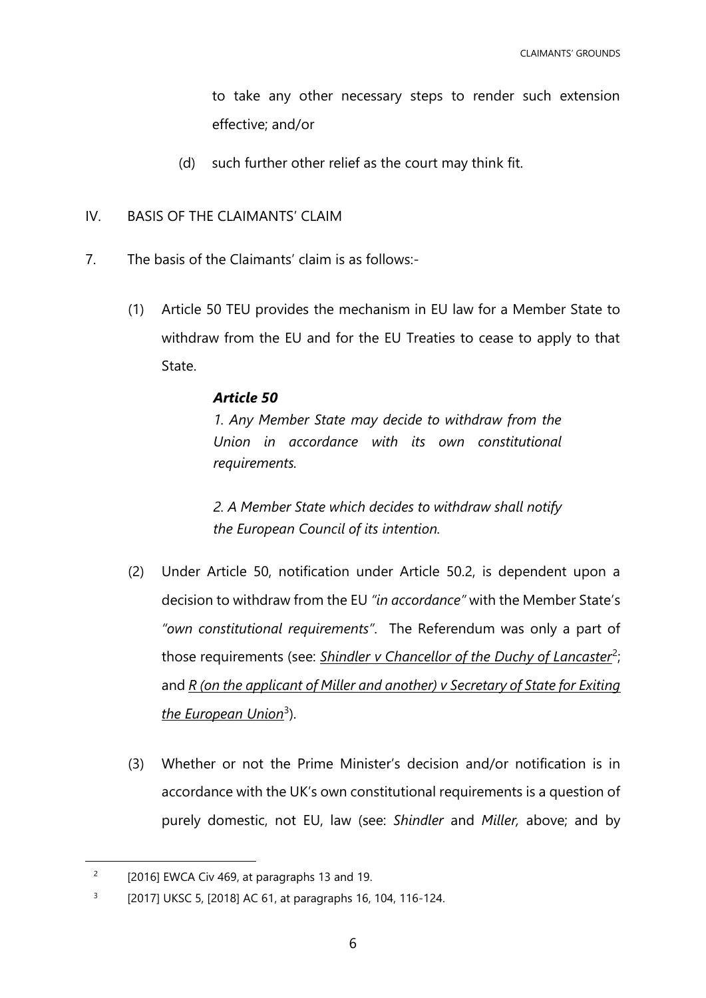to take any other necessary steps to render such extension effective; and/or

- (d) such further other relief as the court may think fit.
- <span id="page-5-0"></span>IV. BASIS OF THE CLAIMANTS' CLAIM
- 7. The basis of the Claimants' claim is as follows:-
	- (1) Article 50 TEU provides the mechanism in EU law for a Member State to withdraw from the EU and for the EU Treaties to cease to apply to that State.

## *Article 50*

*1. Any Member State may decide to withdraw from the Union in accordance with its own constitutional requirements.*

*2. A Member State which decides to withdraw shall notify the European Council of its intention.*

- (2) Under Article 50, notification under Article 50.2, is dependent upon a decision to withdraw from the EU *"in accordance"* with the Member State's *"own constitutional requirements"*. The Referendum was only a part of those requirements (see: *Shindler v Chancellor of the Duchy of Lancaster<sup>2</sup>;* and *R (on the applicant of Miller and another) v Secretary of State for Exiting*  <u>the European Union<sup>3</sup>)</u>.
- (3) Whether or not the Prime Minister's decision and/or notification is in accordance with the UK's own constitutional requirements is a question of purely domestic, not EU, law (see: *Shindler* and *Miller,* above; and by

<sup>2</sup> [2016] EWCA Civ 469, at paragraphs 13 and 19.

<sup>3</sup> [2017] UKSC 5, [2018] AC 61, at paragraphs 16, 104, 116-124.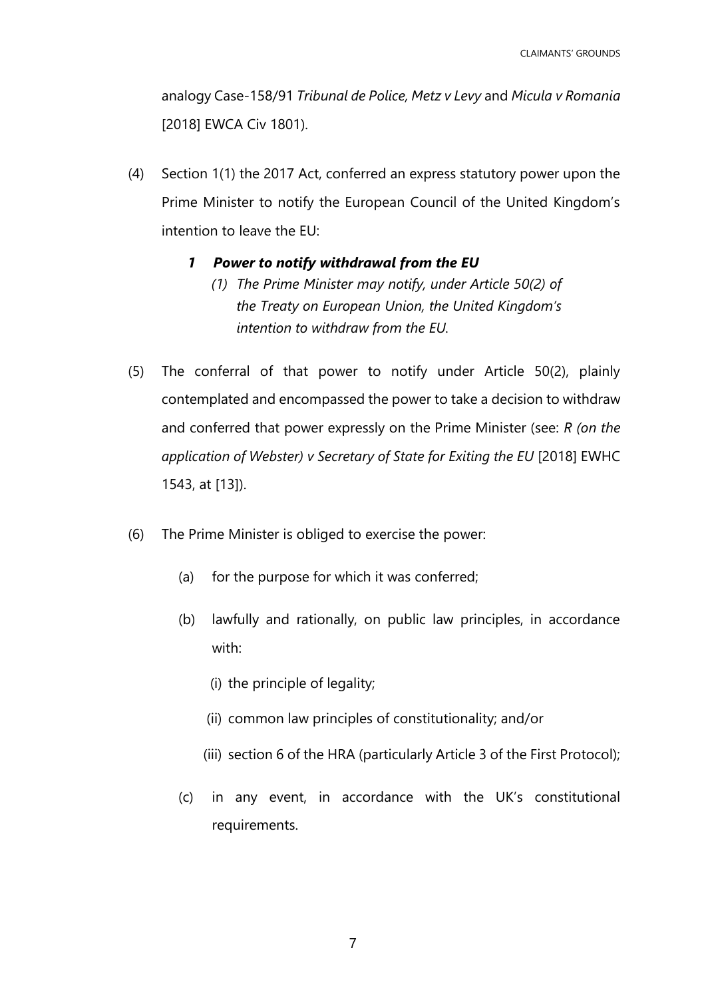analogy Case-158/91 *Tribunal de Police, Metz v Levy* and *Micula v Romania* [2018] EWCA Civ 1801).

(4) Section 1(1) the 2017 Act, conferred an express statutory power upon the Prime Minister to notify the European Council of the United Kingdom's intention to leave the EU:

# *1 Power to notify withdrawal from the EU*

- *(1) The Prime Minister may notify, under Article 50(2) of the Treaty on European Union, the United Kingdom's intention to withdraw from the EU.*
- (5) The conferral of that power to notify under Article 50(2), plainly contemplated and encompassed the power to take a decision to withdraw and conferred that power expressly on the Prime Minister (see: *R (on the application of Webster) v Secretary of State for Exiting the EU* [2018] EWHC 1543, at [13]).
- (6) The Prime Minister is obliged to exercise the power:
	- (a) for the purpose for which it was conferred;
	- (b) lawfully and rationally, on public law principles, in accordance with:
		- (i) the principle of legality;
		- (ii) common law principles of constitutionality; and/or
		- (iii) section 6 of the HRA (particularly Article 3 of the First Protocol);
	- (c) in any event, in accordance with the UK's constitutional requirements.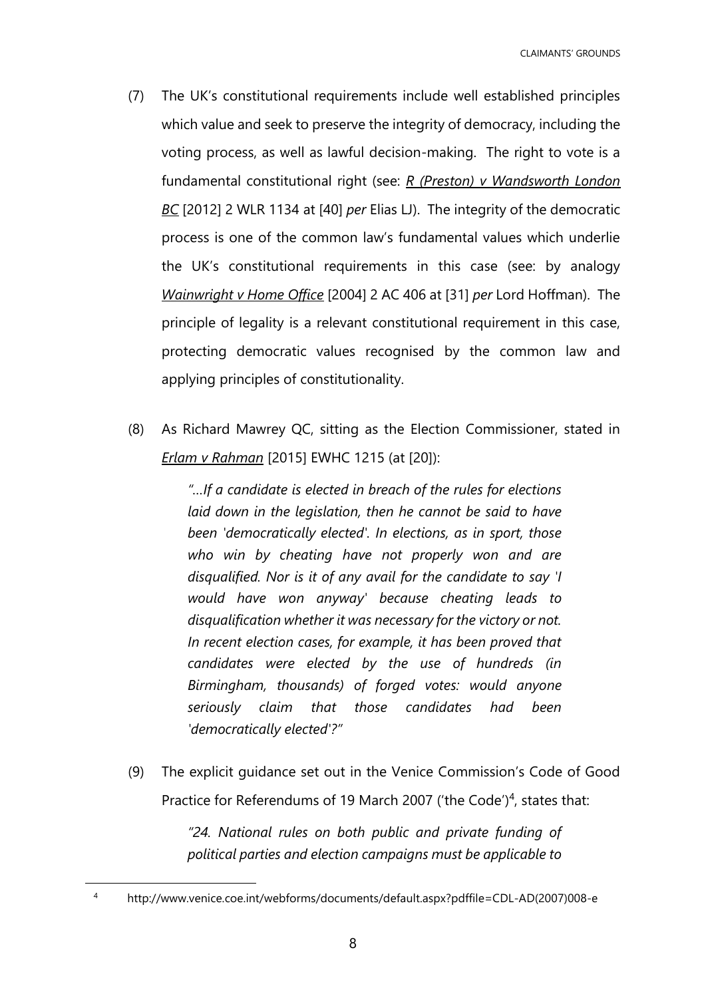- (7) The UK's constitutional requirements include well established principles which value and seek to preserve the integrity of democracy, including the voting process, as well as lawful decision-making. The right to vote is a fundamental constitutional right (see: *R (Preston) v Wandsworth London BC* [2012] 2 WLR 1134 at [40] *per* Elias LJ). The integrity of the democratic process is one of the common law's fundamental values which underlie the UK's constitutional requirements in this case (see: by analogy *Wainwright v Home Office* [2004] 2 AC 406 at [31] *per* Lord Hoffman). The principle of legality is a relevant constitutional requirement in this case, protecting democratic values recognised by the common law and applying principles of constitutionality.
- (8) As Richard Mawrey QC, sitting as the Election Commissioner, stated in *Erlam v Rahman* [2015] EWHC 1215 (at [20]):

*"…If a candidate is elected in breach of the rules for elections laid down in the legislation, then he cannot be said to have been 'democratically elected'. In elections, as in sport, those who win by cheating have not properly won and are disqualified. Nor is it of any avail for the candidate to say 'I would have won anyway' because cheating leads to disqualification whether it was necessary for the victory or not. In recent election cases, for example, it has been proved that candidates were elected by the use of hundreds (in Birmingham, thousands) of forged votes: would anyone seriously claim that those candidates had been 'democratically elected'?"*

(9) The explicit guidance set out in the Venice Commission's Code of Good Practice for Referendums of 19 March 2007 ('the Code')<sup>4</sup>, states that:

> *"24. National rules on both public and private funding of political parties and election campaigns must be applicable to*

<sup>4</sup> http://www.venice.coe.int/webforms/documents/default.aspx?pdffile=CDL-AD(2007)008-e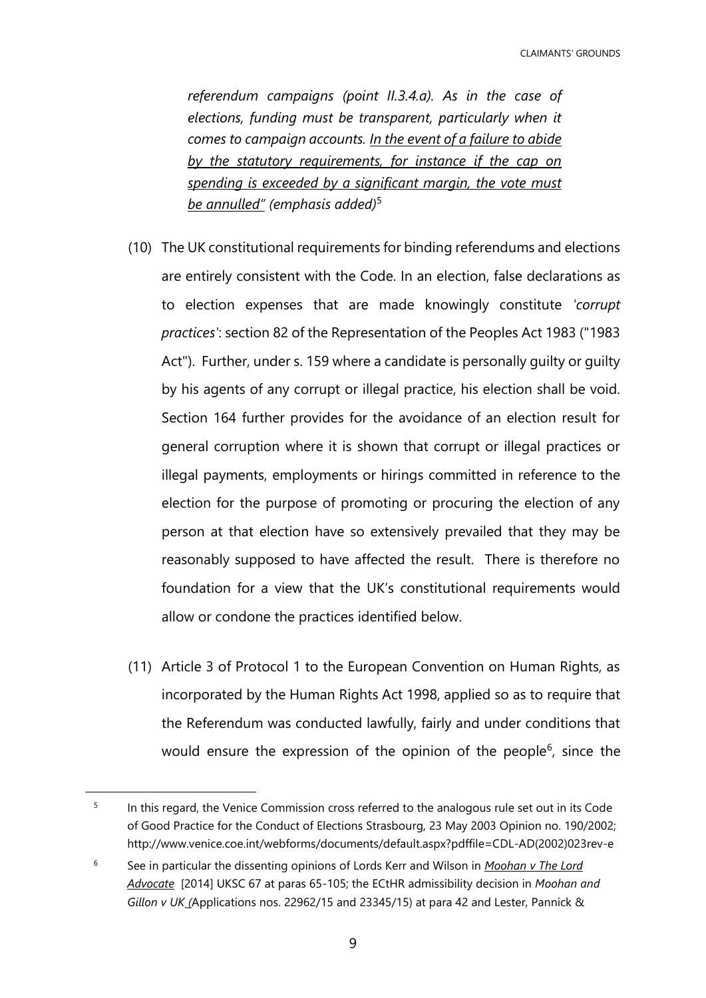CLAIMANTS' GROUNDS

*referendum campaigns (point II.3.4.a). As in the case of elections, funding must be transparent, particularly when it comes to campaign accounts. In the event of a failure to abide by the statutory requirements, for instance if the cap on spending is exceeded by a significant margin, the vote must be annulled" (emphasis added)*<sup>5</sup>

- (10) The UK constitutional requirements for binding referendums and elections are entirely consistent with the Code. In an election, false declarations as to election expenses that are made knowingly constitute *'corrupt practices'*: section 82 of the Representation of the Peoples Act 1983 ("1983 Act"). Further, under s. 159 where a candidate is personally guilty or guilty by his agents of any corrupt or illegal practice, his election shall be void. Section 164 further provides for the avoidance of an election result for general corruption where it is shown that corrupt or illegal practices or illegal payments, employments or hirings committed in reference to the election for the purpose of promoting or procuring the election of any person at that election have so extensively prevailed that they may be reasonably supposed to have affected the result. There is therefore no foundation for a view that the UK's constitutional requirements would allow or condone the practices identified below.
- (11) Article 3 of Protocol 1 to the European Convention on Human Rights, as incorporated by the Human Rights Act 1998, applied so as to require that the Referendum was conducted lawfully, fairly and under conditions that would ensure the expression of the opinion of the people<sup>6</sup>, since the

<sup>5</sup> In this regard, the Venice Commission cross referred to the analogous rule set out in its Code of Good Practice for the Conduct of Elections Strasbourg, 23 May 2003 Opinion no. 190/2002; http://www.venice.coe.int/webforms/documents/default.aspx?pdffile=CDL-AD(2002)023rev-e

<sup>6</sup> See in particular the dissenting opinions of Lords Kerr and Wilson in *Moohan v The Lord Advocate* [2014] UKSC 67 at paras 65-105; the ECtHR admissibility decision in *Moohan and Gillon v UK (*Applications nos. 22962/15 and 23345/15) at para 42 and Lester, Pannick &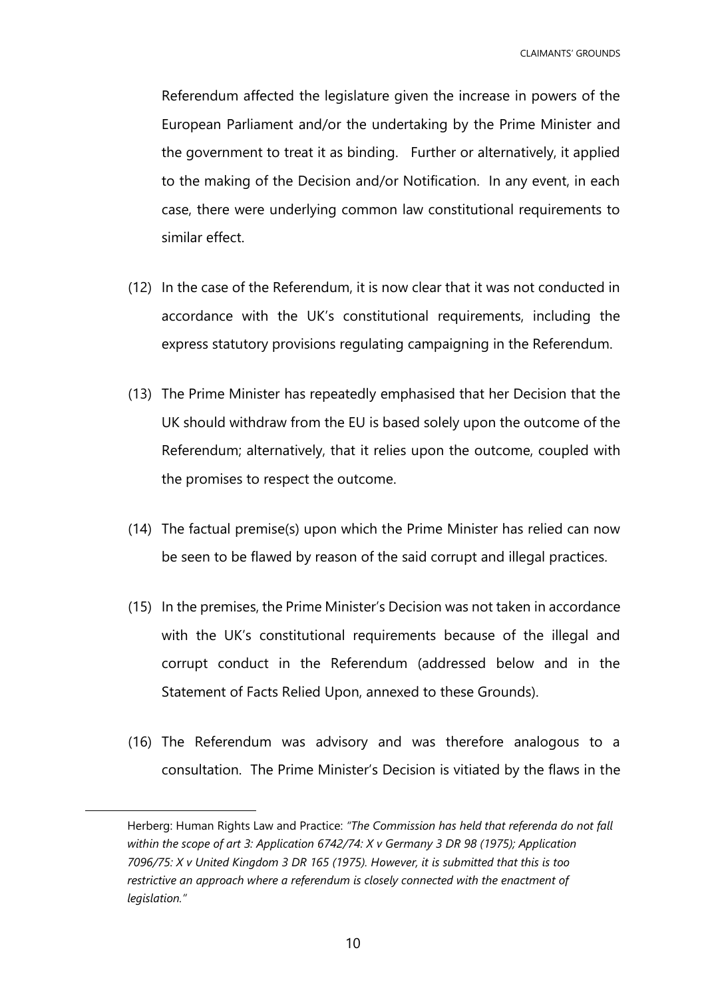Referendum affected the legislature given the increase in powers of the European Parliament and/or the undertaking by the Prime Minister and the government to treat it as binding. Further or alternatively, it applied to the making of the Decision and/or Notification. In any event, in each case, there were underlying common law constitutional requirements to similar effect.

- (12) In the case of the Referendum, it is now clear that it was not conducted in accordance with the UK's constitutional requirements, including the express statutory provisions regulating campaigning in the Referendum.
- (13) The Prime Minister has repeatedly emphasised that her Decision that the UK should withdraw from the EU is based solely upon the outcome of the Referendum; alternatively, that it relies upon the outcome, coupled with the promises to respect the outcome.
- (14) The factual premise(s) upon which the Prime Minister has relied can now be seen to be flawed by reason of the said corrupt and illegal practices.
- (15) In the premises, the Prime Minister's Decision was not taken in accordance with the UK's constitutional requirements because of the illegal and corrupt conduct in the Referendum (addressed below and in the Statement of Facts Relied Upon, annexed to these Grounds).
- (16) The Referendum was advisory and was therefore analogous to a consultation. The Prime Minister's Decision is vitiated by the flaws in the

Herberg: Human Rights Law and Practice: *"The Commission has held that referenda do not fall within the scope of art 3: Application 6742/74: X v Germany 3 DR 98 (1975); Application 7096/75: X v United Kingdom 3 DR 165 (1975). However, it is submitted that this is too*  restrictive an approach where a referendum is closely connected with the enactment of *legislation."*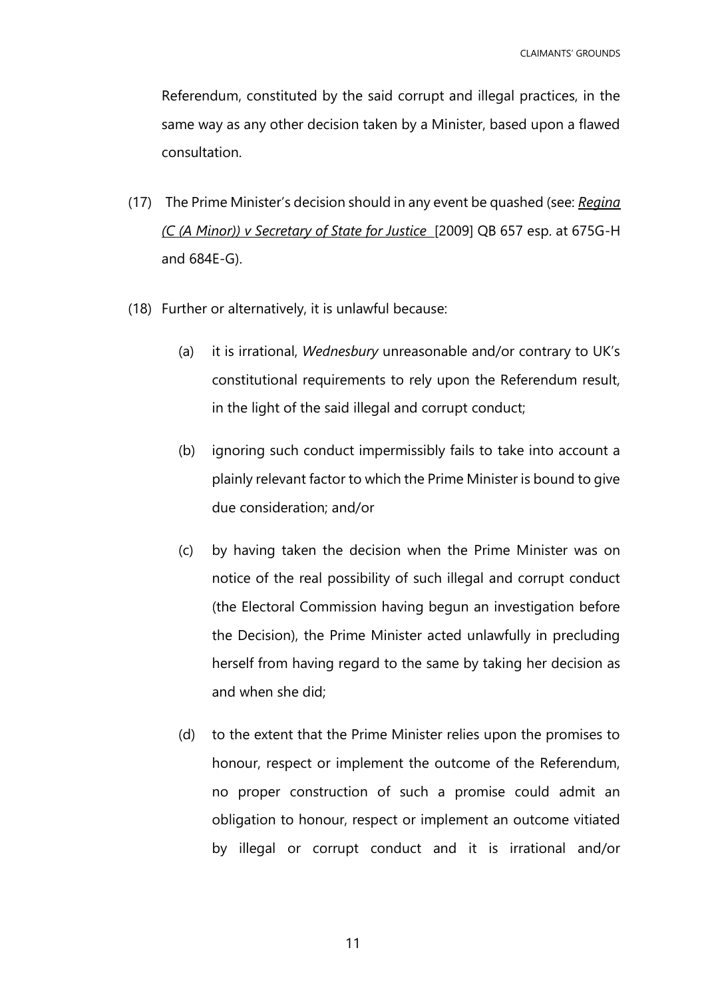Referendum, constituted by the said corrupt and illegal practices, in the same way as any other decision taken by a Minister, based upon a flawed consultation.

- (17) The Prime Minister's decision should in any event be quashed (see: *Regina (C (A Minor)) v Secretary of State for Justice* [2009] QB 657 esp. at 675G-H and 684E-G).
- (18) Further or alternatively, it is unlawful because:
	- (a) it is irrational, *Wednesbury* unreasonable and/or contrary to UK's constitutional requirements to rely upon the Referendum result, in the light of the said illegal and corrupt conduct;
	- (b) ignoring such conduct impermissibly fails to take into account a plainly relevant factor to which the Prime Minister is bound to give due consideration; and/or
	- (c) by having taken the decision when the Prime Minister was on notice of the real possibility of such illegal and corrupt conduct (the Electoral Commission having begun an investigation before the Decision), the Prime Minister acted unlawfully in precluding herself from having regard to the same by taking her decision as and when she did;
	- (d) to the extent that the Prime Minister relies upon the promises to honour, respect or implement the outcome of the Referendum, no proper construction of such a promise could admit an obligation to honour, respect or implement an outcome vitiated by illegal or corrupt conduct and it is irrational and/or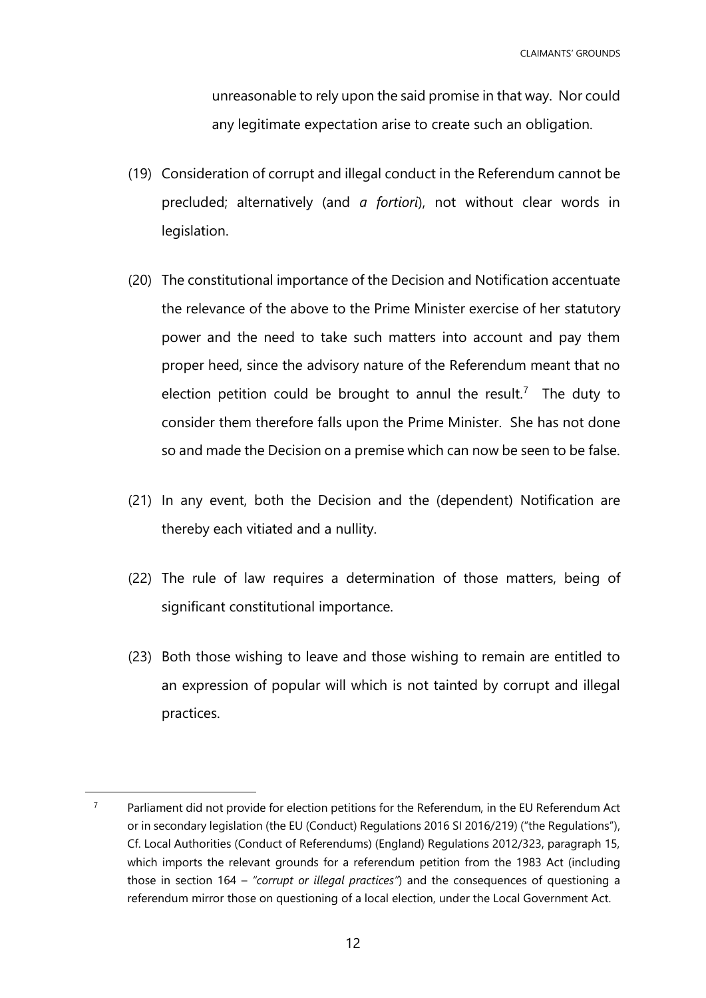CLAIMANTS' GROUNDS

unreasonable to rely upon the said promise in that way. Nor could any legitimate expectation arise to create such an obligation.

- (19) Consideration of corrupt and illegal conduct in the Referendum cannot be precluded; alternatively (and *a fortiori*), not without clear words in legislation.
- (20) The constitutional importance of the Decision and Notification accentuate the relevance of the above to the Prime Minister exercise of her statutory power and the need to take such matters into account and pay them proper heed, since the advisory nature of the Referendum meant that no election petition could be brought to annul the result.<sup>7</sup> The duty to consider them therefore falls upon the Prime Minister. She has not done so and made the Decision on a premise which can now be seen to be false.
- (21) In any event, both the Decision and the (dependent) Notification are thereby each vitiated and a nullity.
- (22) The rule of law requires a determination of those matters, being of significant constitutional importance.
- (23) Both those wishing to leave and those wishing to remain are entitled to an expression of popular will which is not tainted by corrupt and illegal practices.

 $7$  Parliament did not provide for election petitions for the Referendum, in the EU Referendum Act or in secondary legislation (the EU (Conduct) Regulations 2016 SI 2016/219) ("the Regulations"), Cf. Local Authorities (Conduct of Referendums) (England) Regulations 2012/323, paragraph 15, which imports the relevant grounds for a referendum petition from the 1983 Act (including those in section 164 – *"corrupt or illegal practices"*) and the consequences of questioning a referendum mirror those on questioning of a local election, under the Local Government Act.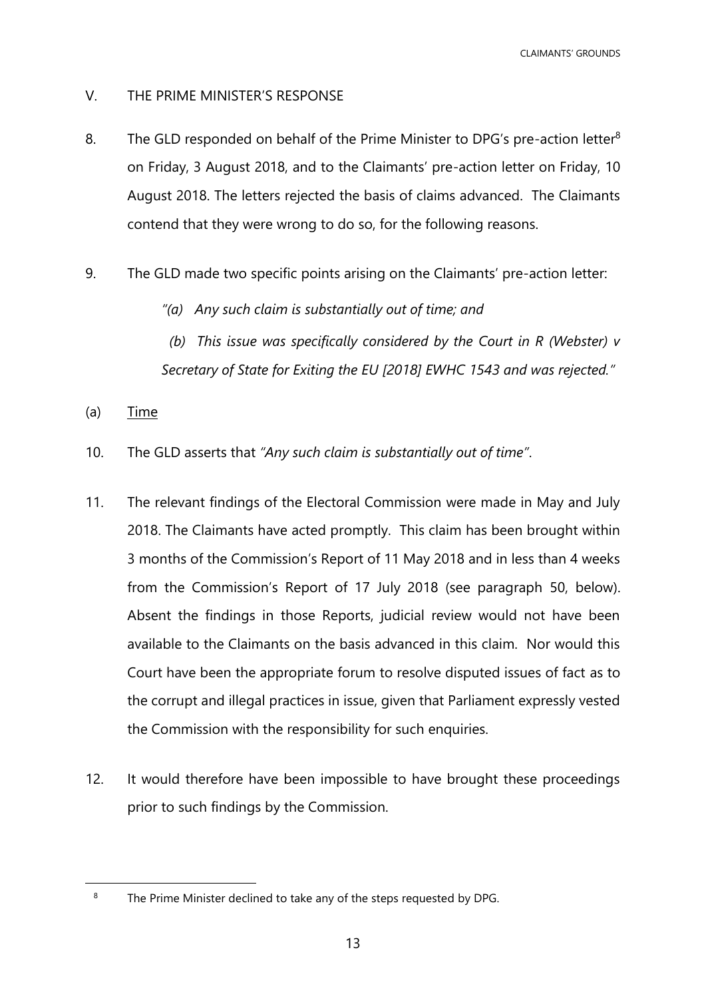CLAIMANTS' GROUNDS

- <span id="page-12-0"></span>V. THE PRIME MINISTER'S RESPONSE
- 8. The GLD responded on behalf of the Prime Minister to DPG's pre-action letter<sup>8</sup> on Friday, 3 August 2018, and to the Claimants' pre-action letter on Friday, 10 August 2018. The letters rejected the basis of claims advanced. The Claimants contend that they were wrong to do so, for the following reasons.
- 9. The GLD made two specific points arising on the Claimants' pre-action letter:
	- *"(a) Any such claim is substantially out of time; and*
	- *(b) This issue was specifically considered by the Court in R (Webster) v Secretary of State for Exiting the EU [2018] EWHC 1543 and was rejected."*
- (a) Time

- 10. The GLD asserts that *"Any such claim is substantially out of time"*.
- 11. The relevant findings of the Electoral Commission were made in May and July 2018. The Claimants have acted promptly. This claim has been brought within 3 months of the Commission's Report of 11 May 2018 and in less than 4 weeks from the Commission's Report of 17 July 2018 (see paragraph [50,](#page-25-0) below). Absent the findings in those Reports, judicial review would not have been available to the Claimants on the basis advanced in this claim. Nor would this Court have been the appropriate forum to resolve disputed issues of fact as to the corrupt and illegal practices in issue, given that Parliament expressly vested the Commission with the responsibility for such enquiries.
- 12. It would therefore have been impossible to have brought these proceedings prior to such findings by the Commission.

<sup>&</sup>lt;sup>8</sup> The Prime Minister declined to take any of the steps requested by DPG.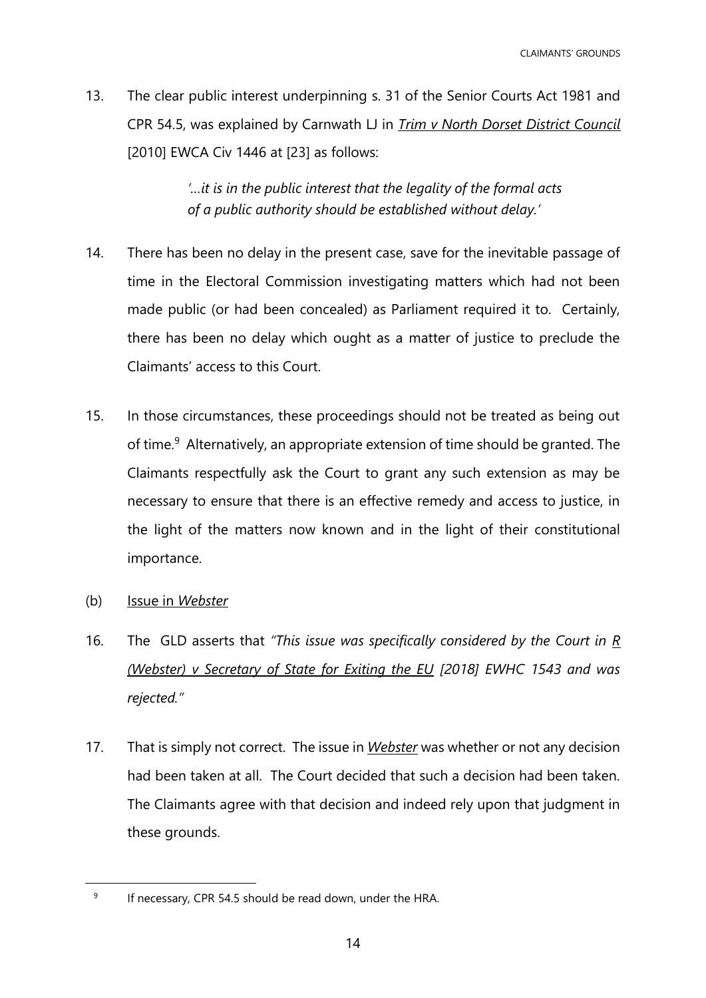13. The clear public interest underpinning s. 31 of the Senior Courts Act 1981 and CPR 54.5, was explained by Carnwath LJ in *Trim v North Dorset District Council* [2010] EWCA Civ 1446 at [23] as follows:

> *'…it is in the public interest that the legality of the formal acts of a public authority should be established without delay.'*

- 14. There has been no delay in the present case, save for the inevitable passage of time in the Electoral Commission investigating matters which had not been made public (or had been concealed) as Parliament required it to. Certainly, there has been no delay which ought as a matter of justice to preclude the Claimants' access to this Court.
- 15. In those circumstances, these proceedings should not be treated as being out of time.<sup>9</sup> Alternatively, an appropriate extension of time should be granted. The Claimants respectfully ask the Court to grant any such extension as may be necessary to ensure that there is an effective remedy and access to justice, in the light of the matters now known and in the light of their constitutional importance.
- (b) Issue in *Webster*

- 16. The GLD asserts that *"This issue was specifically considered by the Court in R (Webster) v Secretary of State for Exiting the EU [2018] EWHC 1543 and was rejected."*
- 17. That is simply not correct. The issue in *Webster* was whether or not any decision had been taken at all. The Court decided that such a decision had been taken. The Claimants agree with that decision and indeed rely upon that judgment in these grounds.

<sup>9</sup> If necessary, CPR 54.5 should be read down, under the HRA.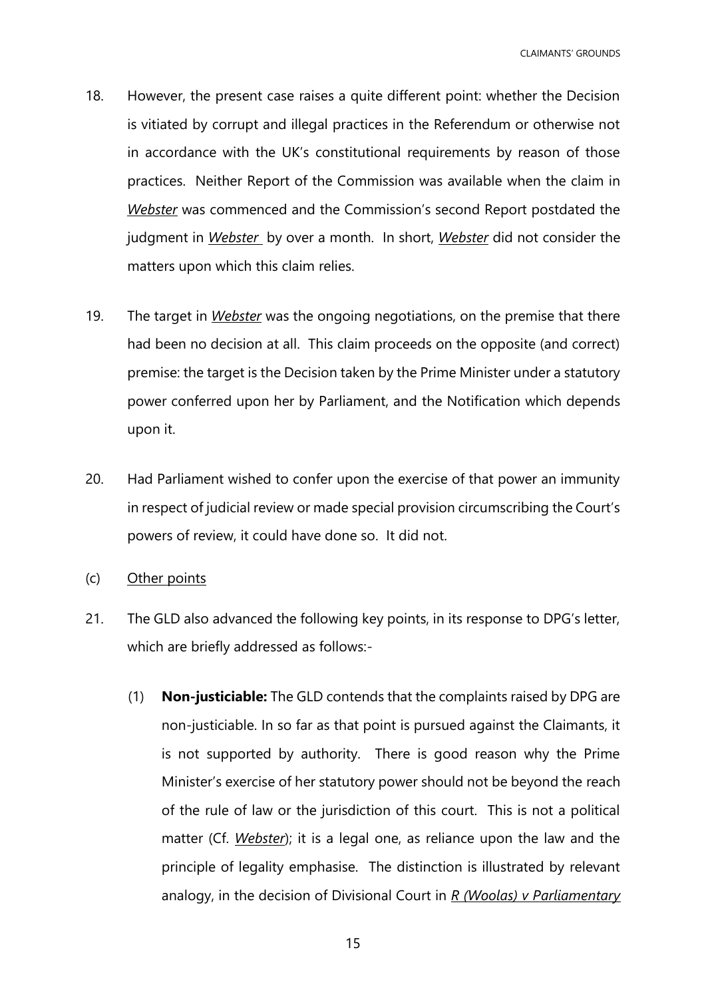- 18. However, the present case raises a quite different point: whether the Decision is vitiated by corrupt and illegal practices in the Referendum or otherwise not in accordance with the UK's constitutional requirements by reason of those practices. Neither Report of the Commission was available when the claim in *Webster* was commenced and the Commission's second Report postdated the judgment in *Webster* by over a month. In short, *Webster* did not consider the matters upon which this claim relies.
- 19. The target in *Webster* was the ongoing negotiations, on the premise that there had been no decision at all. This claim proceeds on the opposite (and correct) premise: the target is the Decision taken by the Prime Minister under a statutory power conferred upon her by Parliament, and the Notification which depends upon it.
- 20. Had Parliament wished to confer upon the exercise of that power an immunity in respect of judicial review or made special provision circumscribing the Court's powers of review, it could have done so. It did not.
- (c) Other points
- 21. The GLD also advanced the following key points, in its response to DPG's letter, which are briefly addressed as follows:-
	- (1) **Non-justiciable:** The GLD contends that the complaints raised by DPG are non-justiciable. In so far as that point is pursued against the Claimants, it is not supported by authority. There is good reason why the Prime Minister's exercise of her statutory power should not be beyond the reach of the rule of law or the jurisdiction of this court. This is not a political matter (Cf. *Webster*); it is a legal one, as reliance upon the law and the principle of legality emphasise. The distinction is illustrated by relevant analogy, in the decision of Divisional Court in *R (Woolas) v Parliamentary*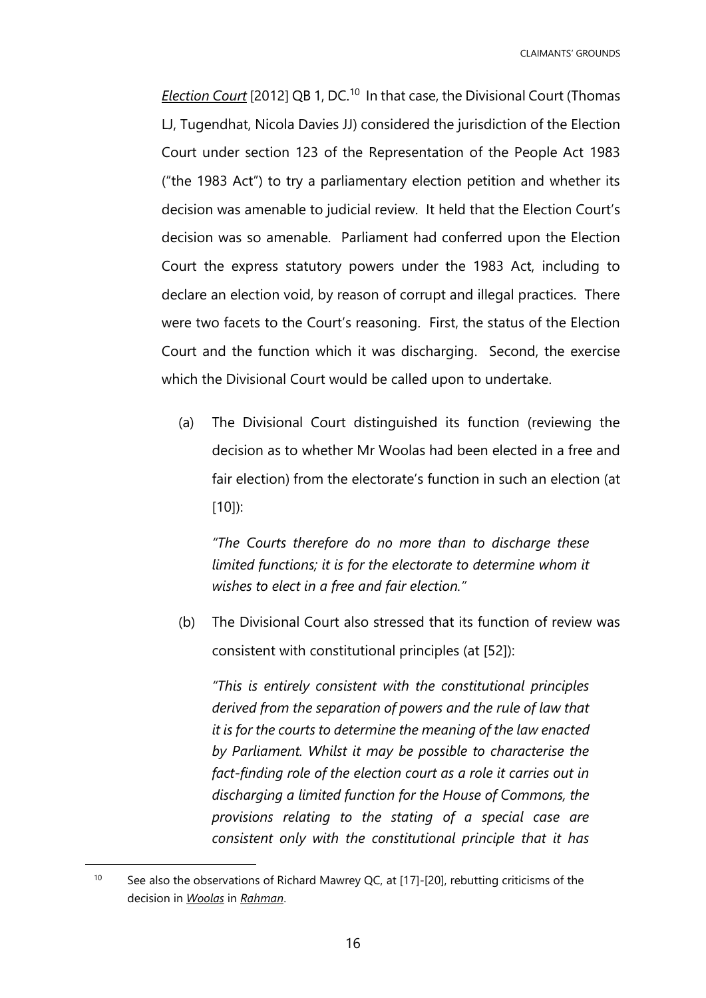*Election Court* [2012] QB 1, DC.<sup>10</sup> In that case, the Divisional Court (Thomas LJ, Tugendhat, Nicola Davies JJ) considered the jurisdiction of the Election Court under section 123 of the Representation of the People Act 1983 ("the 1983 Act") to try a parliamentary election petition and whether its decision was amenable to judicial review. It held that the Election Court's decision was so amenable. Parliament had conferred upon the Election Court the express statutory powers under the 1983 Act, including to declare an election void, by reason of corrupt and illegal practices. There were two facets to the Court's reasoning. First, the status of the Election Court and the function which it was discharging. Second, the exercise which the Divisional Court would be called upon to undertake.

(a) The Divisional Court distinguished its function (reviewing the decision as to whether Mr Woolas had been elected in a free and fair election) from the electorate's function in such an election (at [10]):

*"The Courts therefore do no more than to discharge these limited functions; it is for the electorate to determine whom it wishes to elect in a free and fair election."*

(b) The Divisional Court also stressed that its function of review was consistent with constitutional principles (at [52]):

*"This is entirely consistent with the constitutional principles derived from the separation of powers and the rule of law that it is for the courts to determine the meaning of the law enacted by Parliament. Whilst it may be possible to characterise the*  fact-finding role of the election court as a role it carries out in *discharging a limited function for the House of Commons, the provisions relating to the stating of a special case are consistent only with the constitutional principle that it has* 

<sup>&</sup>lt;sup>10</sup> See also the observations of Richard Mawrey QC, at [17]-[20], rebutting criticisms of the decision in *Woolas* in *Rahman*.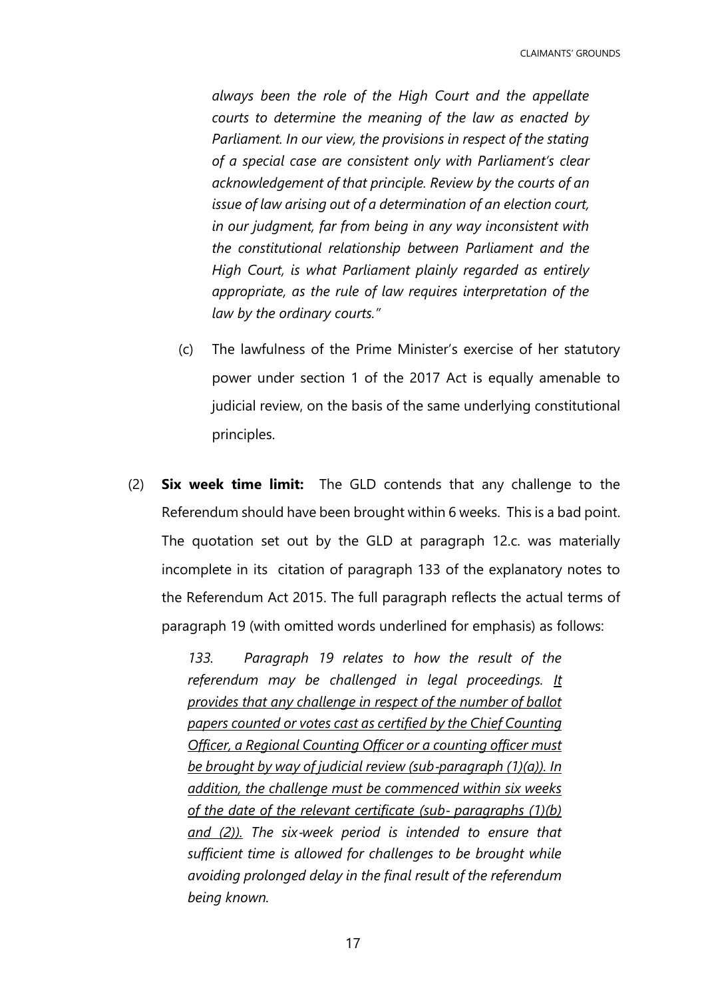*always been the role of the High Court and the appellate courts to determine the meaning of the law as enacted by Parliament. In our view, the provisions in respect of the stating of a special case are consistent only with Parliament's clear acknowledgement of that principle. Review by the courts of an issue of law arising out of a determination of an election court, in our judgment, far from being in any way inconsistent with the constitutional relationship between Parliament and the High Court, is what Parliament plainly regarded as entirely appropriate, as the rule of law requires interpretation of the law by the ordinary courts."*

- (c) The lawfulness of the Prime Minister's exercise of her statutory power under section 1 of the 2017 Act is equally amenable to judicial review, on the basis of the same underlying constitutional principles.
- (2) **Six week time limit:** The GLD contends that any challenge to the Referendum should have been brought within 6 weeks. This is a bad point. The quotation set out by the GLD at paragraph 12.c. was materially incomplete in its citation of paragraph 133 of the explanatory notes to the Referendum Act 2015. The full paragraph reflects the actual terms of paragraph 19 (with omitted words underlined for emphasis) as follows:

*133. Paragraph 19 relates to how the result of the referendum may be challenged in legal proceedings. It provides that any challenge in respect of the number of ballot papers counted or votes cast as certified by the Chief Counting Officer, a Regional Counting Officer or a counting officer must be brought by way of judicial review (sub*‐*paragraph (1)(a)). In addition, the challenge must be commenced within six weeks of the date of the relevant certificate (sub*‐ *paragraphs (1)(b) and (2)). The six*‐*week period is intended to ensure that sufficient time is allowed for challenges to be brought while avoiding prolonged delay in the final result of the referendum being known.*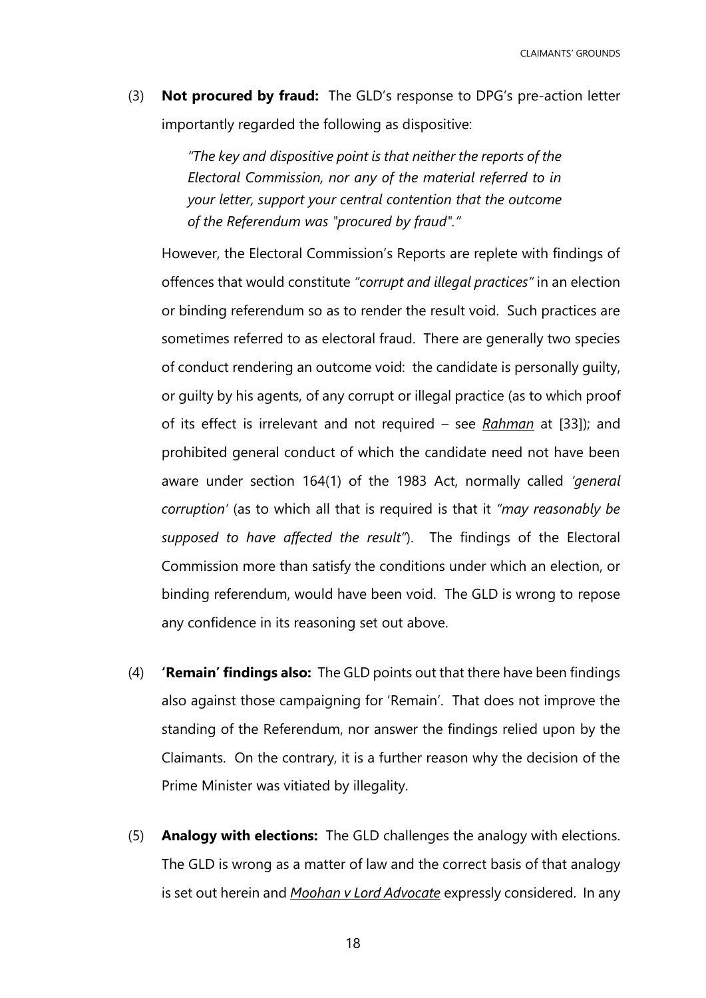CLAIMANTS' GROUNDS

(3) **Not procured by fraud:** The GLD's response to DPG's pre-action letter importantly regarded the following as dispositive:

> *"The key and dispositive point is that neither the reports of the Electoral Commission, nor any of the material referred to in your letter, support your central contention that the outcome of the Referendum was "procured by fraud"."*

However, the Electoral Commission's Reports are replete with findings of offences that would constitute *"corrupt and illegal practices"* in an election or binding referendum so as to render the result void. Such practices are sometimes referred to as electoral fraud. There are generally two species of conduct rendering an outcome void: the candidate is personally guilty, or guilty by his agents, of any corrupt or illegal practice (as to which proof of its effect is irrelevant and not required – see *Rahman* at [33]); and prohibited general conduct of which the candidate need not have been aware under section 164(1) of the 1983 Act, normally called *'general corruption'* (as to which all that is required is that it *"may reasonably be supposed to have affected the result"*). The findings of the Electoral Commission more than satisfy the conditions under which an election, or binding referendum, would have been void. The GLD is wrong to repose any confidence in its reasoning set out above.

- (4) **'Remain' findings also:** The GLD points out that there have been findings also against those campaigning for 'Remain'. That does not improve the standing of the Referendum, nor answer the findings relied upon by the Claimants. On the contrary, it is a further reason why the decision of the Prime Minister was vitiated by illegality.
- (5) **Analogy with elections:** The GLD challenges the analogy with elections. The GLD is wrong as a matter of law and the correct basis of that analogy is set out herein and *Moohan v Lord Advocate* expressly considered. In any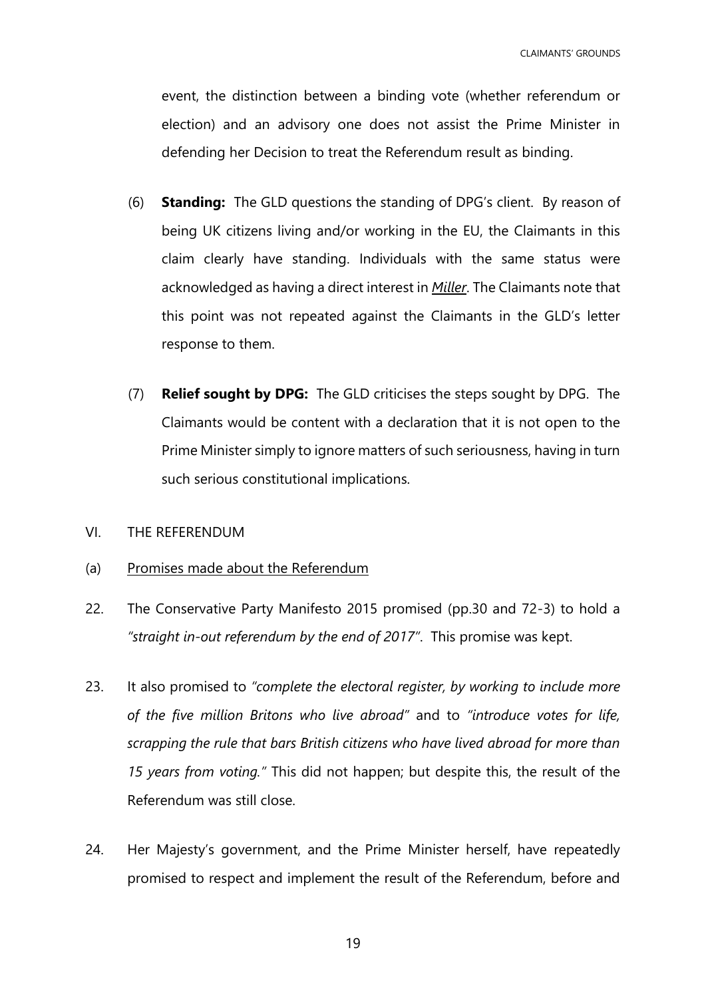event, the distinction between a binding vote (whether referendum or election) and an advisory one does not assist the Prime Minister in defending her Decision to treat the Referendum result as binding.

- (6) **Standing:** The GLD questions the standing of DPG's client. By reason of being UK citizens living and/or working in the EU, the Claimants in this claim clearly have standing. Individuals with the same status were acknowledged as having a direct interest in *Miller*. The Claimants note that this point was not repeated against the Claimants in the GLD's letter response to them.
- (7) **Relief sought by DPG:** The GLD criticises the steps sought by DPG. The Claimants would be content with a declaration that it is not open to the Prime Minister simply to ignore matters of such seriousness, having in turn such serious constitutional implications.
- <span id="page-18-0"></span>VI. THE REFERENDUM
- (a) Promises made about the Referendum
- 22. The Conservative Party Manifesto 2015 promised (pp.30 and 72-3) to hold a *"straight in-out referendum by the end of 2017"*. This promise was kept.
- 23. It also promised to *"complete the electoral register, by working to include more of the five million Britons who live abroad"* and to *"introduce votes for life, scrapping the rule that bars British citizens who have lived abroad for more than 15 years from voting."* This did not happen; but despite this, the result of the Referendum was still close.
- 24. Her Majesty's government, and the Prime Minister herself, have repeatedly promised to respect and implement the result of the Referendum, before and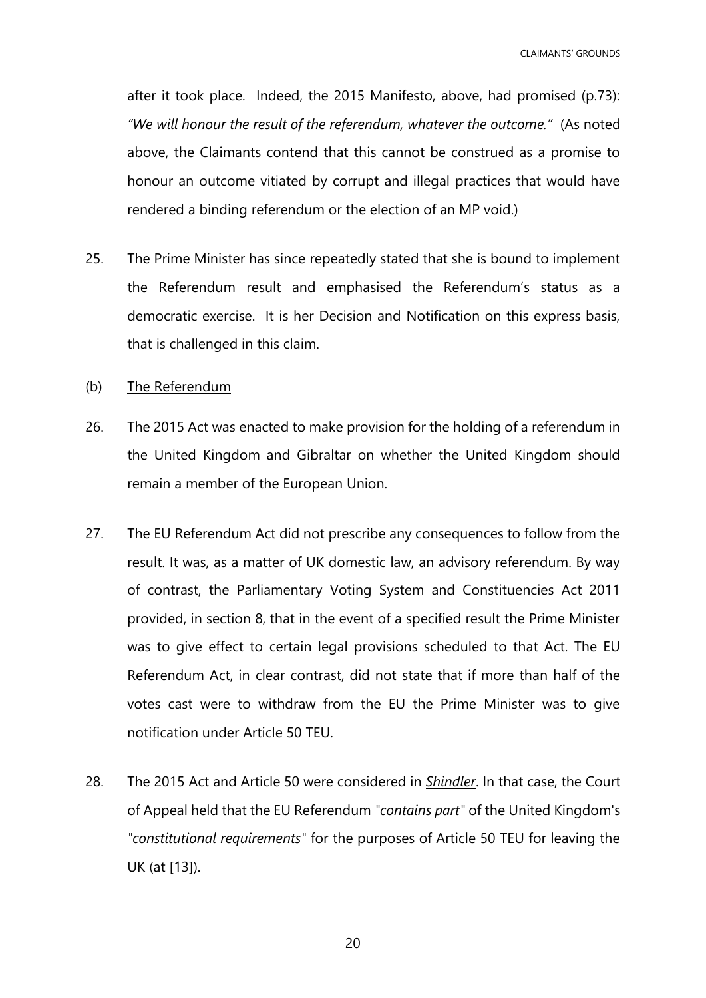CLAIMANTS' GROUNDS

after it took place. Indeed, the 2015 Manifesto, above, had promised (p.73): *"We will honour the result of the referendum, whatever the outcome."* (As noted above, the Claimants contend that this cannot be construed as a promise to honour an outcome vitiated by corrupt and illegal practices that would have rendered a binding referendum or the election of an MP void.)

- 25. The Prime Minister has since repeatedly stated that she is bound to implement the Referendum result and emphasised the Referendum's status as a democratic exercise. It is her Decision and Notification on this express basis, that is challenged in this claim.
- (b) The Referendum
- 26. The 2015 Act was enacted to make provision for the holding of a referendum in the United Kingdom and Gibraltar on whether the United Kingdom should remain a member of the European Union.
- 27. The EU Referendum Act did not prescribe any consequences to follow from the result. It was, as a matter of UK domestic law, an advisory referendum. By way of contrast, the Parliamentary Voting System and Constituencies Act 2011 provided, in section 8, that in the event of a specified result the Prime Minister was to give effect to certain legal provisions scheduled to that Act. The EU Referendum Act, in clear contrast, did not state that if more than half of the votes cast were to withdraw from the EU the Prime Minister was to give notification under Article 50 TEU.
- 28. The 2015 Act and Article 50 were considered in *Shindler*. In that case, the Court of Appeal held that the EU Referendum *"contains part"* of the United Kingdom's *"constitutional requirements"* for the purposes of Article 50 TEU for leaving the UK (at [13]).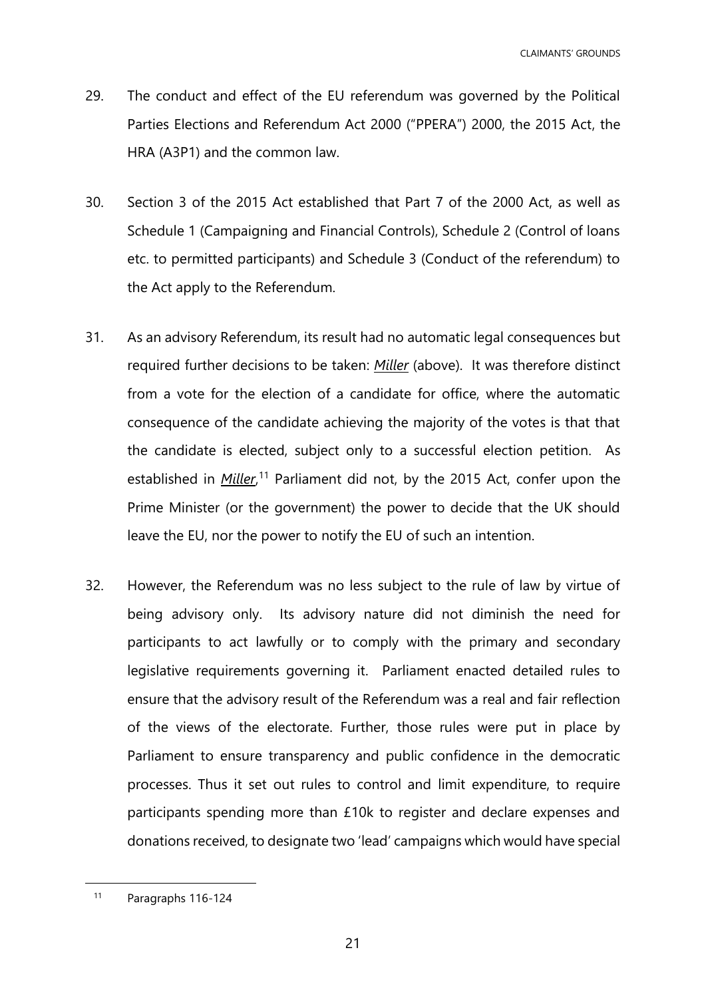- 29. The conduct and effect of the EU referendum was governed by the Political Parties Elections and Referendum Act 2000 ("PPERA") 2000, the 2015 Act, the HRA (A3P1) and the common law.
- 30. Section 3 of the 2015 Act established that Part 7 of the 2000 Act, as well as Schedule 1 (Campaigning and Financial Controls), Schedule 2 (Control of loans etc. to permitted participants) and Schedule 3 (Conduct of the referendum) to the Act apply to the Referendum.
- 31. As an advisory Referendum, its result had no automatic legal consequences but required further decisions to be taken: *Miller* (above). It was therefore distinct from a vote for the election of a candidate for office, where the automatic consequence of the candidate achieving the majority of the votes is that that the candidate is elected, subject only to a successful election petition. As established in *Miller*,<sup>11</sup> Parliament did not, by the 2015 Act, confer upon the Prime Minister (or the government) the power to decide that the UK should leave the EU, nor the power to notify the EU of such an intention.
- 32. However, the Referendum was no less subject to the rule of law by virtue of being advisory only. Its advisory nature did not diminish the need for participants to act lawfully or to comply with the primary and secondary legislative requirements governing it. Parliament enacted detailed rules to ensure that the advisory result of the Referendum was a real and fair reflection of the views of the electorate. Further, those rules were put in place by Parliament to ensure transparency and public confidence in the democratic processes. Thus it set out rules to control and limit expenditure, to require participants spending more than £10k to register and declare expenses and donations received, to designate two 'lead' campaigns which would have special

<sup>11</sup> Paragraphs 116-124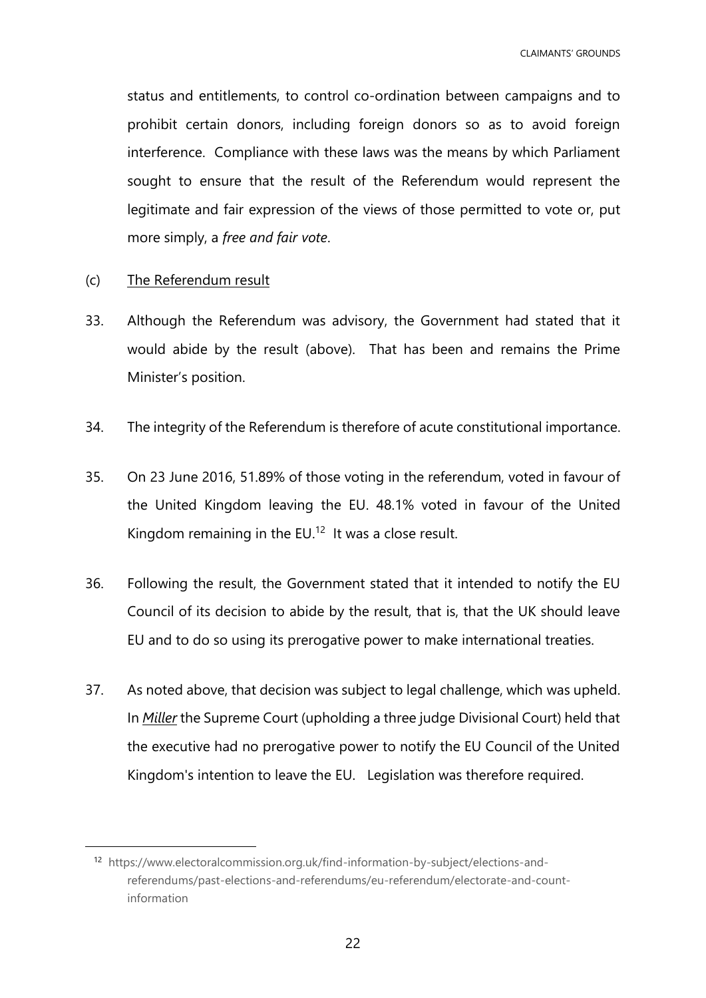status and entitlements, to control co-ordination between campaigns and to prohibit certain donors, including foreign donors so as to avoid foreign interference. Compliance with these laws was the means by which Parliament sought to ensure that the result of the Referendum would represent the legitimate and fair expression of the views of those permitted to vote or, put more simply, a *free and fair vote*.

(c) The Referendum result

- 33. Although the Referendum was advisory, the Government had stated that it would abide by the result (above). That has been and remains the Prime Minister's position.
- 34. The integrity of the Referendum is therefore of acute constitutional importance.
- 35. On 23 June 2016, 51.89% of those voting in the referendum, voted in favour of the United Kingdom leaving the EU. 48.1% voted in favour of the United Kingdom remaining in the EU.<sup>12</sup> It was a close result.
- 36. Following the result, the Government stated that it intended to notify the EU Council of its decision to abide by the result, that is, that the UK should leave EU and to do so using its prerogative power to make international treaties.
- 37. As noted above, that decision was subject to legal challenge, which was upheld. In *Miller* the Supreme Court (upholding a three judge Divisional Court) held that the executive had no prerogative power to notify the EU Council of the United Kingdom's intention to leave the EU. Legislation was therefore required.

<sup>12</sup> [https://www.electoralcommission.org.uk/find-information-by-subject/elections-and](https://www.electoralcommission.org.uk/find-information-by-subject/elections-and-referendums/past-elections-and-referendums/eu-referendum/electorate-and-count-information)[referendums/past-elections-and-referendums/eu-referendum/electorate-and-count](https://www.electoralcommission.org.uk/find-information-by-subject/elections-and-referendums/past-elections-and-referendums/eu-referendum/electorate-and-count-information)[information](https://www.electoralcommission.org.uk/find-information-by-subject/elections-and-referendums/past-elections-and-referendums/eu-referendum/electorate-and-count-information)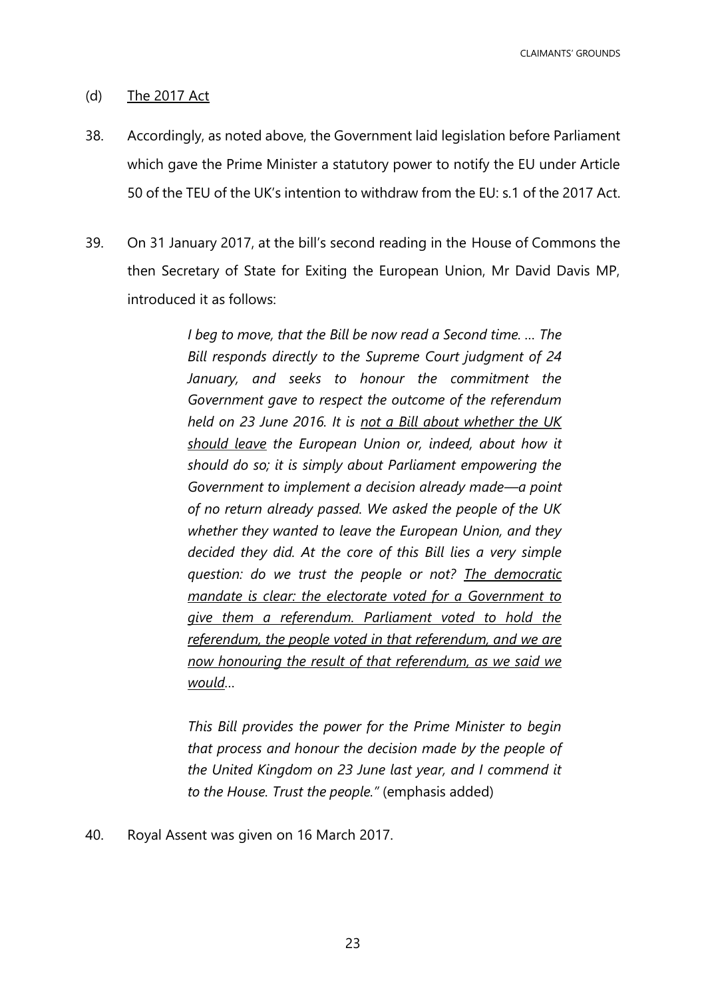CLAIMANTS' GROUNDS

## (d) The 2017 Act

- 38. Accordingly, as noted above, the Government laid legislation before Parliament which gave the Prime Minister a statutory power to notify the EU under Article 50 of the TEU of the UK's intention to withdraw from the EU: s.1 of the 2017 Act.
- 39. On 31 January 2017, at the bill's second reading in the House of Commons the then Secretary of State for Exiting the European Union, Mr David Davis MP, introduced it as follows:

*I beg to move, that the Bill be now read a Second time. … The Bill responds directly to the Supreme Court judgment of 24 January, and seeks to honour the commitment the Government gave to respect the outcome of the referendum held on 23 June 2016. It is not a Bill about whether the UK should leave the European Union or, indeed, about how it should do so; it is simply about Parliament empowering the Government to implement a decision already made—a point of no return already passed. We asked the people of the UK whether they wanted to leave the European Union, and they decided they did. At the core of this Bill lies a very simple question: do we trust the people or not? The democratic mandate is clear: the electorate voted for a Government to give them a referendum. Parliament voted to hold the referendum, the people voted in that referendum, and we are now honouring the result of that referendum, as we said we would…*

*This Bill provides the power for the Prime Minister to begin that process and honour the decision made by the people of the United Kingdom on 23 June last year, and I commend it to the House. Trust the people."* (emphasis added)

40. Royal Assent was given on 16 March 2017.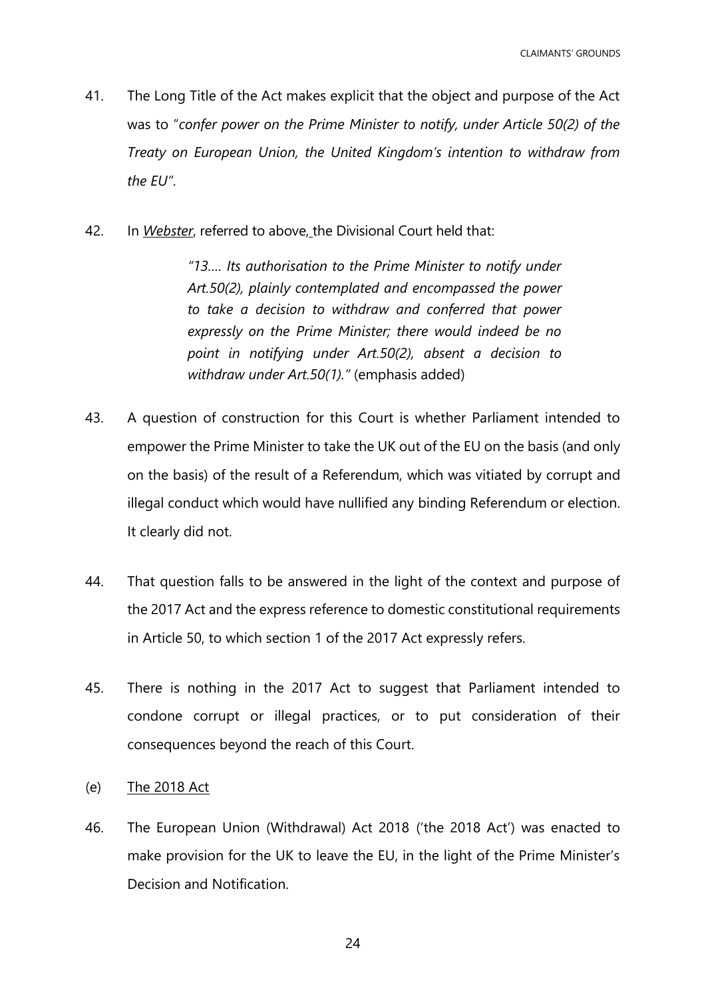- 41. The Long Title of the Act makes explicit that the object and purpose of the Act was to "*confer power on the Prime Minister to notify, under Article 50(2) of the Treaty on European Union, the United Kingdom's intention to withdraw from the EU"*.
- 42. In *Webster*, referred to above, the Divisional Court held that:

*"13…. Its authorisation to the Prime Minister to notify under Art.50(2), plainly contemplated and encompassed the power to take a decision to withdraw and conferred that power expressly on the Prime Minister; there would indeed be no point in notifying under Art.50(2), absent a decision to withdraw under Art.50(1)."* (emphasis added)

- 43. A question of construction for this Court is whether Parliament intended to empower the Prime Minister to take the UK out of the EU on the basis (and only on the basis) of the result of a Referendum, which was vitiated by corrupt and illegal conduct which would have nullified any binding Referendum or election. It clearly did not.
- 44. That question falls to be answered in the light of the context and purpose of the 2017 Act and the express reference to domestic constitutional requirements in Article 50, to which section 1 of the 2017 Act expressly refers.
- 45. There is nothing in the 2017 Act to suggest that Parliament intended to condone corrupt or illegal practices, or to put consideration of their consequences beyond the reach of this Court.
- (e) The 2018 Act
- 46. The European Union (Withdrawal) Act 2018 ('the 2018 Act') was enacted to make provision for the UK to leave the EU, in the light of the Prime Minister's Decision and Notification.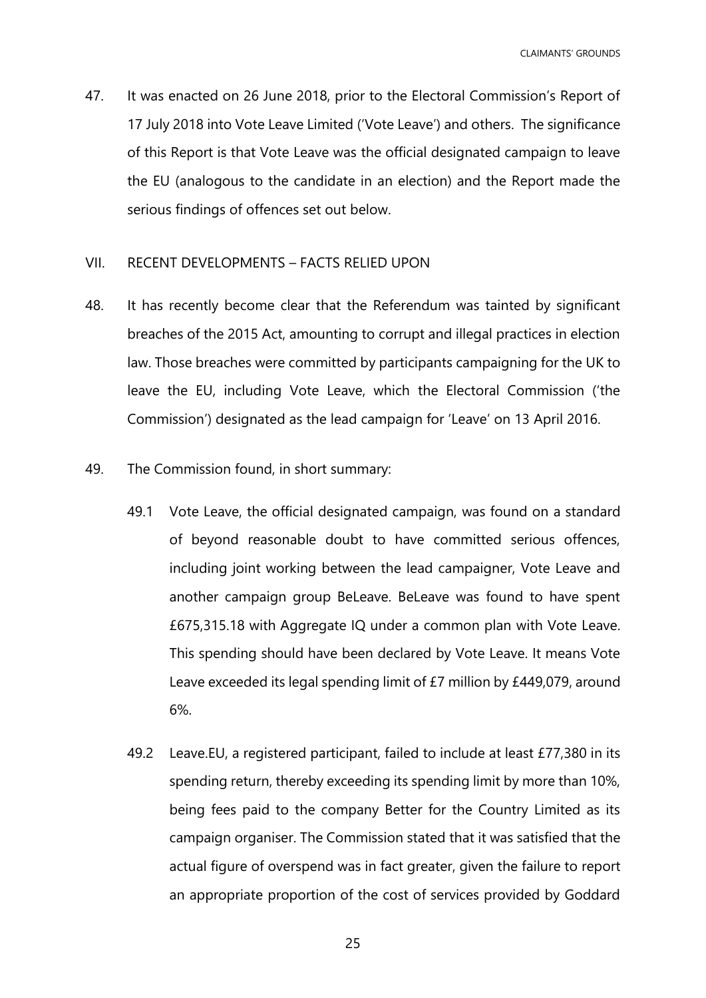47. It was enacted on 26 June 2018, prior to the Electoral Commission's Report of 17 July 2018 into Vote Leave Limited ('Vote Leave') and others. The significance of this Report is that Vote Leave was the official designated campaign to leave the EU (analogous to the candidate in an election) and the Report made the serious findings of offences set out below.

## <span id="page-24-0"></span>VII. RECENT DEVELOPMENTS – FACTS RELIED UPON

- 48. It has recently become clear that the Referendum was tainted by significant breaches of the 2015 Act, amounting to corrupt and illegal practices in election law. Those breaches were committed by participants campaigning for the UK to leave the EU, including Vote Leave, which the Electoral Commission ('the Commission') designated as the lead campaign for 'Leave' on 13 April 2016.
- 49. The Commission found, in short summary:
	- 49.1 Vote Leave, the official designated campaign, was found on a standard of beyond reasonable doubt to have committed serious offences, including joint working between the lead campaigner, Vote Leave and another campaign group BeLeave. BeLeave was found to have spent £675,315.18 with Aggregate IQ under a common plan with Vote Leave. This spending should have been declared by Vote Leave. It means Vote Leave exceeded its legal spending limit of £7 million by £449,079, around 6%.
	- 49.2 Leave.EU, a registered participant, failed to include at least £77,380 in its spending return, thereby exceeding its spending limit by more than 10%, being fees paid to the company Better for the Country Limited as its campaign organiser. The Commission stated that it was satisfied that the actual figure of overspend was in fact greater, given the failure to report an appropriate proportion of the cost of services provided by Goddard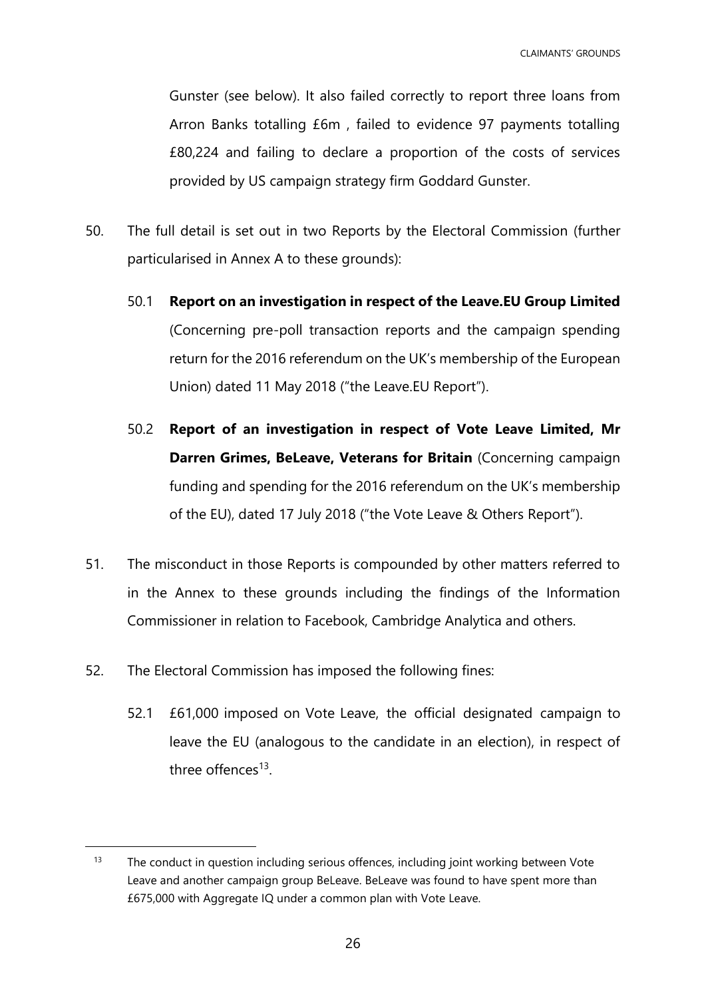Gunster (see below). It also failed correctly to report three loans from Arron Banks totalling £6m , failed to evidence 97 payments totalling £80,224 and failing to declare a proportion of the costs of services provided by US campaign strategy firm Goddard Gunster.

- <span id="page-25-0"></span>50. The full detail is set out in two Reports by the Electoral Commission (further particularised in Annex A to these grounds):
	- 50.1 **Report on an investigation in respect of the Leave.EU Group Limited** (Concerning pre-poll transaction reports and the campaign spending return for the 2016 referendum on the UK's membership of the European Union) dated 11 May 2018 ("the Leave.EU Report").
	- 50.2 **Report of an investigation in respect of Vote Leave Limited, Mr Darren Grimes, BeLeave, Veterans for Britain** (Concerning campaign funding and spending for the 2016 referendum on the UK's membership of the EU), dated 17 July 2018 ("the Vote Leave & Others Report").
- 51. The misconduct in those Reports is compounded by other matters referred to in the Annex to these grounds including the findings of the Information Commissioner in relation to Facebook, Cambridge Analytica and others.
- 52. The Electoral Commission has imposed the following fines:

1

52.1 £61,000 imposed on Vote Leave, the official designated campaign to leave the EU (analogous to the candidate in an election), in respect of three offences<sup>13</sup>.

 $13$  The conduct in question including serious offences, including joint working between Vote Leave and another campaign group BeLeave. BeLeave was found to have spent more than £675,000 with Aggregate IQ under a common plan with Vote Leave.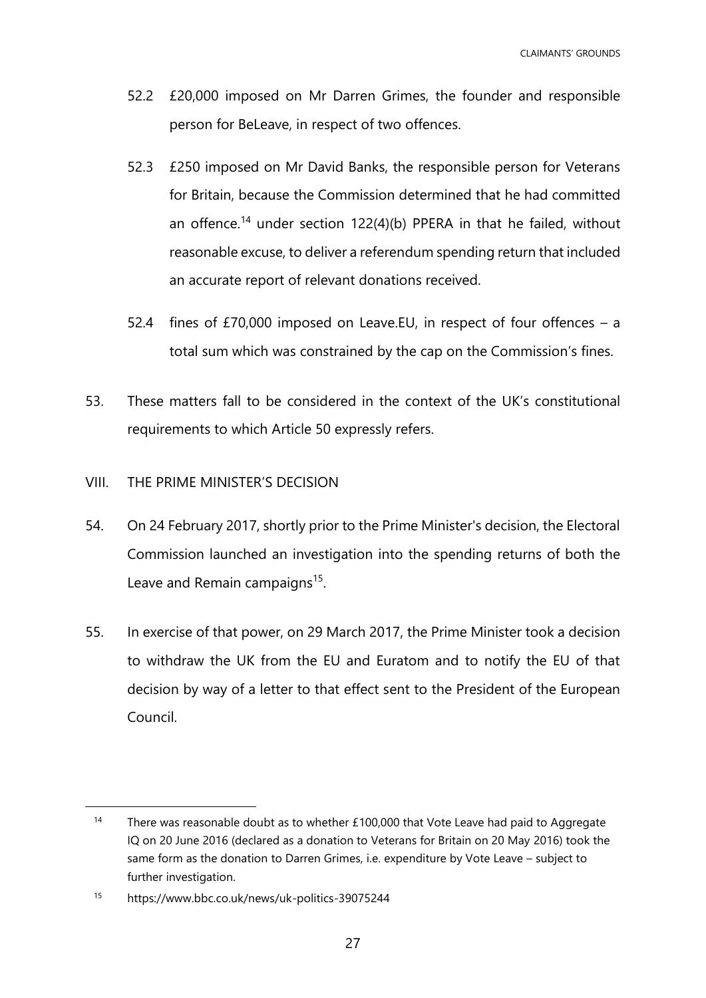- 52.2 £20,000 imposed on Mr Darren Grimes, the founder and responsible person for BeLeave, in respect of two offences.
- 52.3 £250 imposed on Mr David Banks, the responsible person for Veterans for Britain, because the Commission determined that he had committed an offence.<sup>14</sup> under section 122(4)(b) PPERA in that he failed, without reasonable excuse, to deliver a referendum spending return that included an accurate report of relevant donations received.
- 52.4 fines of £70,000 imposed on Leave.EU, in respect of four offences a total sum which was constrained by the cap on the Commission's fines.
- 53. These matters fall to be considered in the context of the UK's constitutional requirements to which Article 50 expressly refers.

# <span id="page-26-0"></span>VIII. THE PRIME MINISTER'S DECISION

- 54. On 24 February 2017, shortly prior to the Prime Minister's decision, the Electoral Commission launched an investigation into the spending returns of both the Leave and Remain campaigns<sup>15</sup>.
- 55. In exercise of that power, on 29 March 2017, the Prime Minister took a decision to withdraw the UK from the EU and Euratom and to notify the EU of that decision by way of a letter to that effect sent to the President of the European Council.

<sup>&</sup>lt;sup>14</sup> There was reasonable doubt as to whether £100,000 that Vote Leave had paid to Aggregate IQ on 20 June 2016 (declared as a donation to Veterans for Britain on 20 May 2016) took the same form as the donation to Darren Grimes, i.e. expenditure by Vote Leave – subject to further investigation.

<sup>15</sup> <https://www.bbc.co.uk/news/uk-politics-39075244>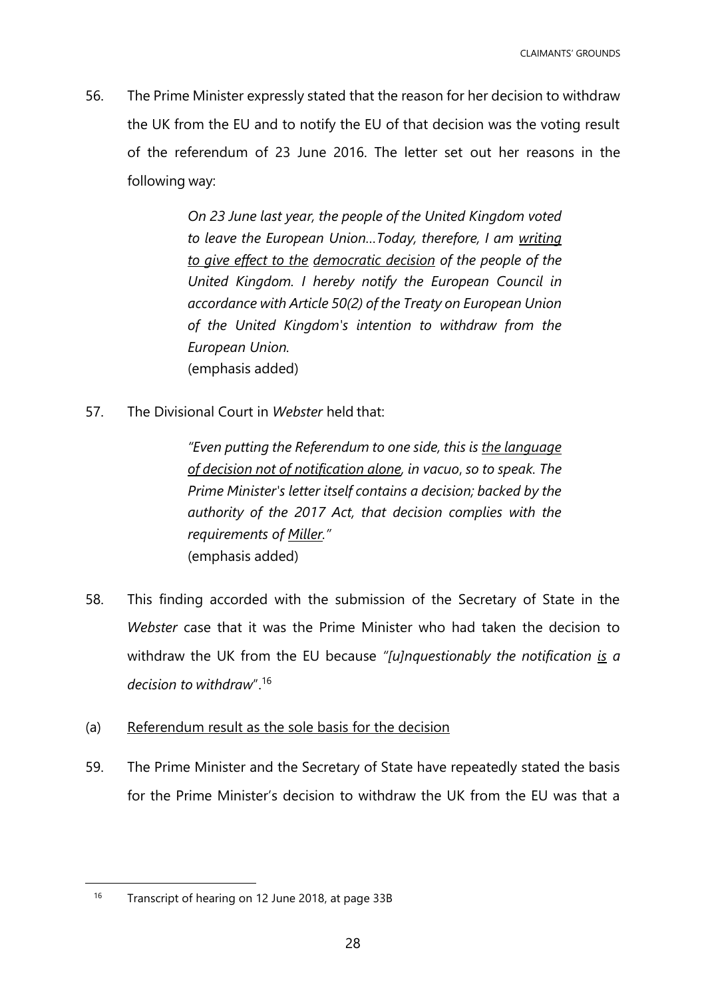56. The Prime Minister expressly stated that the reason for her decision to withdraw the UK from the EU and to notify the EU of that decision was the voting result of the referendum of 23 June 2016. The letter set out her reasons in the following way:

> *On 23 June last year, the people of the United Kingdom voted to leave the European Union…Today, therefore, I am writing to give effect to the democratic decision of the people of the United Kingdom. I hereby notify the European Council in accordance with Article 50(2) of the Treaty on European Union of the United Kingdom's intention to withdraw from the European Union.*  (emphasis added)

57. The Divisional Court in *Webster* held that:

*"Even putting the Referendum to one side, this is the language of decision not of notification alone, in vacuo*, *so to speak. The Prime Minister's letter itself contains a decision; backed by the authority of the 2017 Act, that decision complies with the requirements of Miller."* (emphasis added)

- 58. This finding accorded with the submission of the Secretary of State in the *Webster* case that it was the Prime Minister who had taken the decision to withdraw the UK from the EU because *"[u]nquestionably the notification is a decision to withdraw*".<sup>16</sup>
- (a) Referendum result as the sole basis for the decision
- 59. The Prime Minister and the Secretary of State have repeatedly stated the basis for the Prime Minister's decision to withdraw the UK from the EU was that a

<sup>&</sup>lt;sup>16</sup> Transcript of hearing on 12 June 2018, at page 33B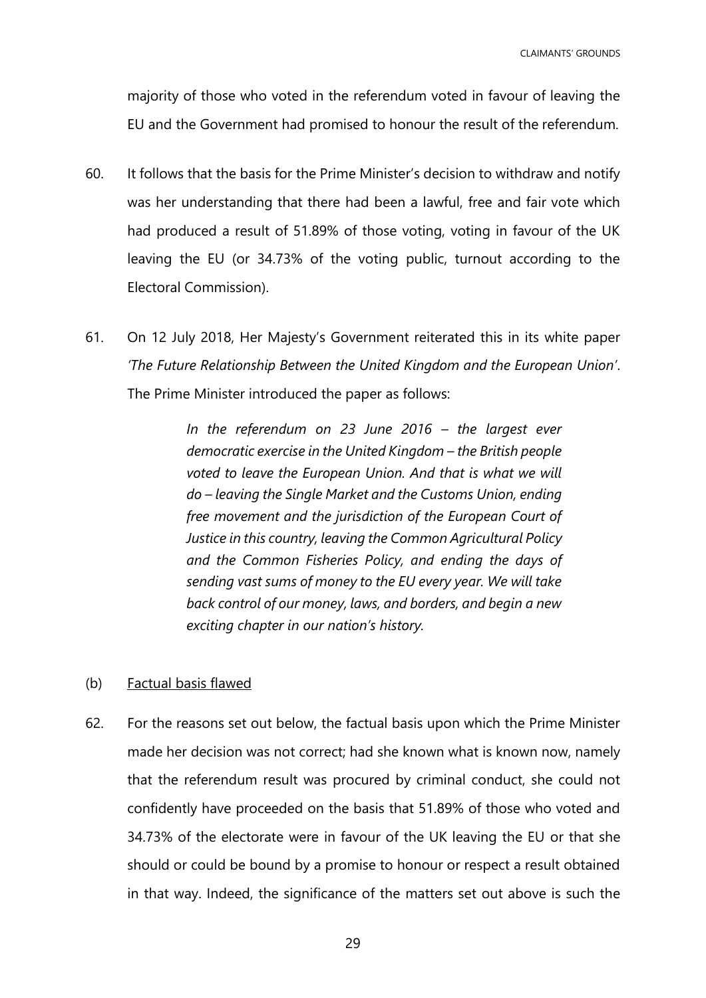CLAIMANTS' GROUNDS

majority of those who voted in the referendum voted in favour of leaving the EU and the Government had promised to honour the result of the referendum.

- 60. It follows that the basis for the Prime Minister's decision to withdraw and notify was her understanding that there had been a lawful, free and fair vote which had produced a result of 51.89% of those voting, voting in favour of the UK leaving the EU (or 34.73% of the voting public, turnout according to the Electoral Commission).
- 61. On 12 July 2018, Her Majesty's Government reiterated this in its white paper *'The Future Relationship Between the United Kingdom and the European Union'*. The Prime Minister introduced the paper as follows:

*In the referendum on 23 June 2016 – the largest ever democratic exercise in the United Kingdom – the British people voted to leave the European Union. And that is what we will do – leaving the Single Market and the Customs Union, ending free movement and the jurisdiction of the European Court of Justice in this country, leaving the Common Agricultural Policy and the Common Fisheries Policy, and ending the days of sending vast sums of money to the EU every year. We will take back control of our money, laws, and borders, and begin a new exciting chapter in our nation's history.*

- (b) Factual basis flawed
- 62. For the reasons set out below, the factual basis upon which the Prime Minister made her decision was not correct; had she known what is known now, namely that the referendum result was procured by criminal conduct, she could not confidently have proceeded on the basis that 51.89% of those who voted and 34.73% of the electorate were in favour of the UK leaving the EU or that she should or could be bound by a promise to honour or respect a result obtained in that way. Indeed, the significance of the matters set out above is such the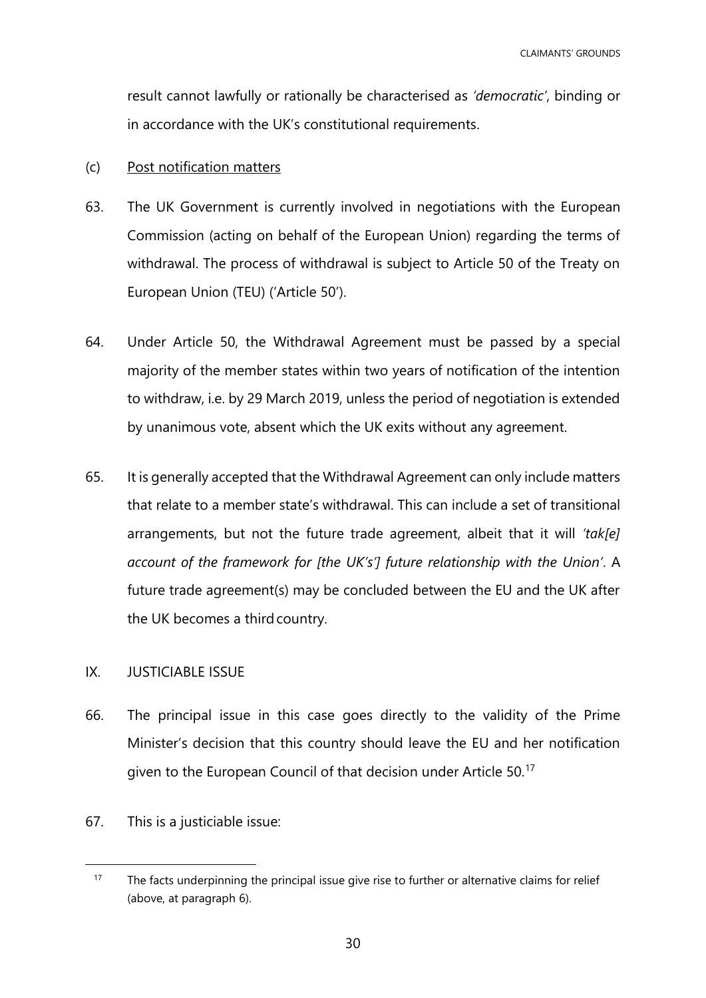result cannot lawfully or rationally be characterised as *'democratic'*, binding or in accordance with the UK's constitutional requirements.

## (c) Post notification matters

- 63. The UK Government is currently involved in negotiations with the European Commission (acting on behalf of the European Union) regarding the terms of withdrawal. The process of withdrawal is subject to Article 50 of the Treaty on European Union (TEU) ('Article 50').
- 64. Under Article 50, the Withdrawal Agreement must be passed by a special majority of the member states within two years of notification of the intention to withdraw, i.e. by 29 March 2019, unless the period of negotiation is extended by unanimous vote, absent which the UK exits without any agreement.
- 65. It is generally accepted that the Withdrawal Agreement can only include matters that relate to a member state's withdrawal. This can include a set of transitional arrangements, but not the future trade agreement, albeit that it will *'tak[e] account of the framework for [the UK's'] future relationship with the Union'*. A future trade agreement(s) may be concluded between the EU and the UK after the UK becomes a third country.

# <span id="page-29-0"></span>IX. JUSTICIABLE ISSUE

- 66. The principal issue in this case goes directly to the validity of the Prime Minister's decision that this country should leave the EU and her notification given to the European Council of that decision under Article 50.<sup>17</sup>
- 67. This is a justiciable issue:

<sup>&</sup>lt;sup>17</sup> The facts underpinning the principal issue give rise to further or alternative claims for relief (above, at paragraph 6).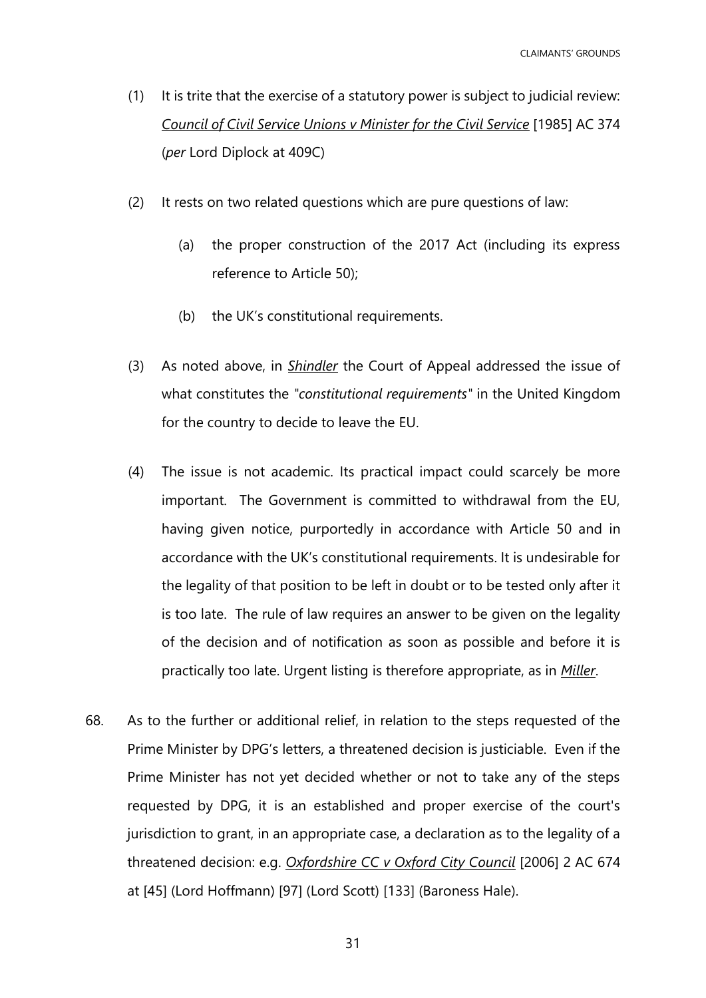- (1) It is trite that the exercise of a statutory power is subject to judicial review: *Council of Civil Service Unions v Minister for the Civil Service* [1985] AC 374 (*per* Lord Diplock at 409C)
- (2) It rests on two related questions which are pure questions of law:
	- (a) the proper construction of the 2017 Act (including its express reference to Article 50);
	- (b) the UK's constitutional requirements.
- (3) As noted above, in *Shindler* the Court of Appeal addressed the issue of what constitutes the *"constitutional requirements"* in the United Kingdom for the country to decide to leave the EU.
- (4) The issue is not academic. Its practical impact could scarcely be more important. The Government is committed to withdrawal from the EU, having given notice, purportedly in accordance with Article 50 and in accordance with the UK's constitutional requirements. It is undesirable for the legality of that position to be left in doubt or to be tested only after it is too late. The rule of law requires an answer to be given on the legality of the decision and of notification as soon as possible and before it is practically too late. Urgent listing is therefore appropriate, as in *Miller*.
- 68. As to the further or additional relief, in relation to the steps requested of the Prime Minister by DPG's letters, a threatened decision is justiciable. Even if the Prime Minister has not yet decided whether or not to take any of the steps requested by DPG, it is an established and proper exercise of the court's jurisdiction to grant, in an appropriate case, a declaration as to the legality of a threatened decision: e.g. *Oxfordshire CC v Oxford City Council* [2006] 2 AC 674 at [45] (Lord Hoffmann) [97] (Lord Scott) [133] (Baroness Hale).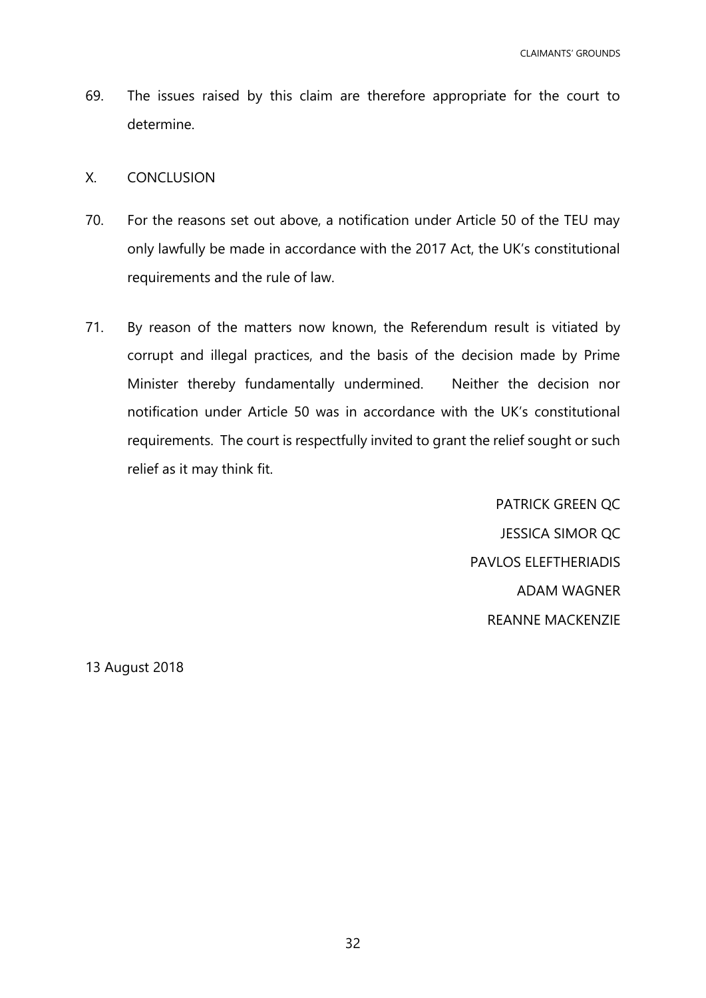69. The issues raised by this claim are therefore appropriate for the court to determine.

## <span id="page-31-0"></span>X. CONCLUSION

- 70. For the reasons set out above, a notification under Article 50 of the TEU may only lawfully be made in accordance with the 2017 Act, the UK's constitutional requirements and the rule of law.
- 71. By reason of the matters now known, the Referendum result is vitiated by corrupt and illegal practices, and the basis of the decision made by Prime Minister thereby fundamentally undermined. Neither the decision nor notification under Article 50 was in accordance with the UK's constitutional requirements. The court is respectfully invited to grant the relief sought or such relief as it may think fit.

PATRICK GREEN QC JESSICA SIMOR QC PAVLOS ELEFTHERIADIS ADAM WAGNER REANNE MACKENZIE

13 August 2018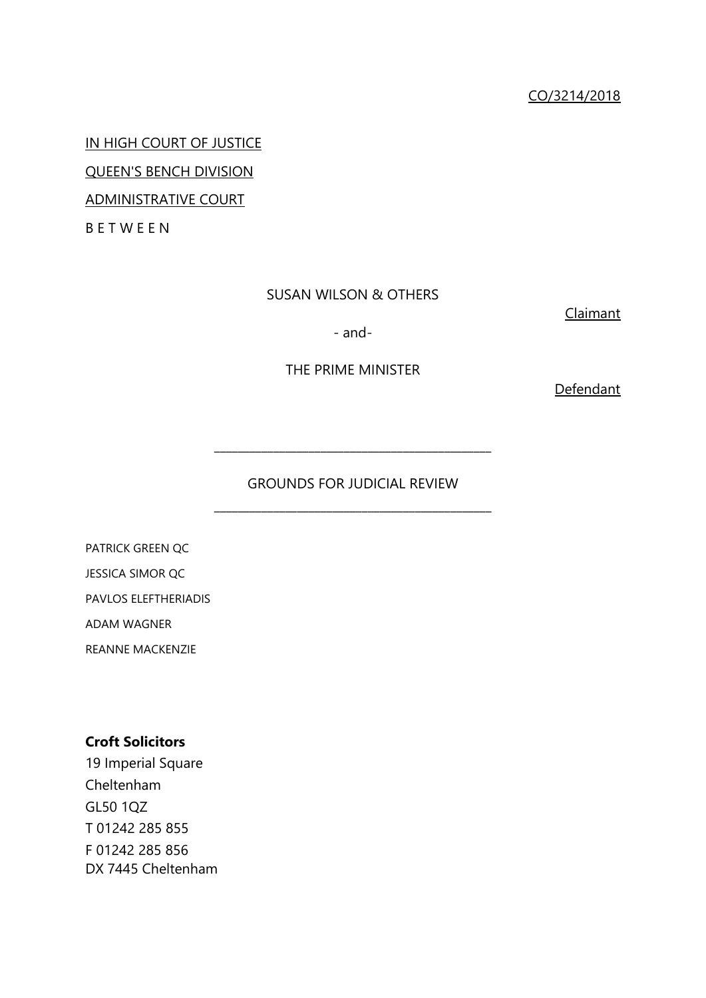IN HIGH COURT OF JUSTICE QUEEN'S BENCH DIVISION

ADMINISTRATIVE COURT

B E T W E E N

# SUSAN WILSON & OTHERS

Claimant

- and-

# THE PRIME MINISTER

**Defendant** 

# GROUNDS FOR JUDICIAL REVIEW \_\_\_\_\_\_\_\_\_\_\_\_\_\_\_\_\_\_\_\_\_\_\_\_\_\_\_\_\_\_\_\_\_\_\_\_\_\_\_\_\_\_\_\_\_\_\_

\_\_\_\_\_\_\_\_\_\_\_\_\_\_\_\_\_\_\_\_\_\_\_\_\_\_\_\_\_\_\_\_\_\_\_\_\_\_\_\_\_\_\_\_\_\_\_

PATRICK GREEN QC JESSICA SIMOR QC PAVLOS ELEFTHERIADIS ADAM WAGNER

REANNE MACKENZIE

# **Croft Solicitors**

19 Imperial Square Cheltenham GL50 1QZ T 01242 285 855 F 01242 285 856 DX 7445 Cheltenham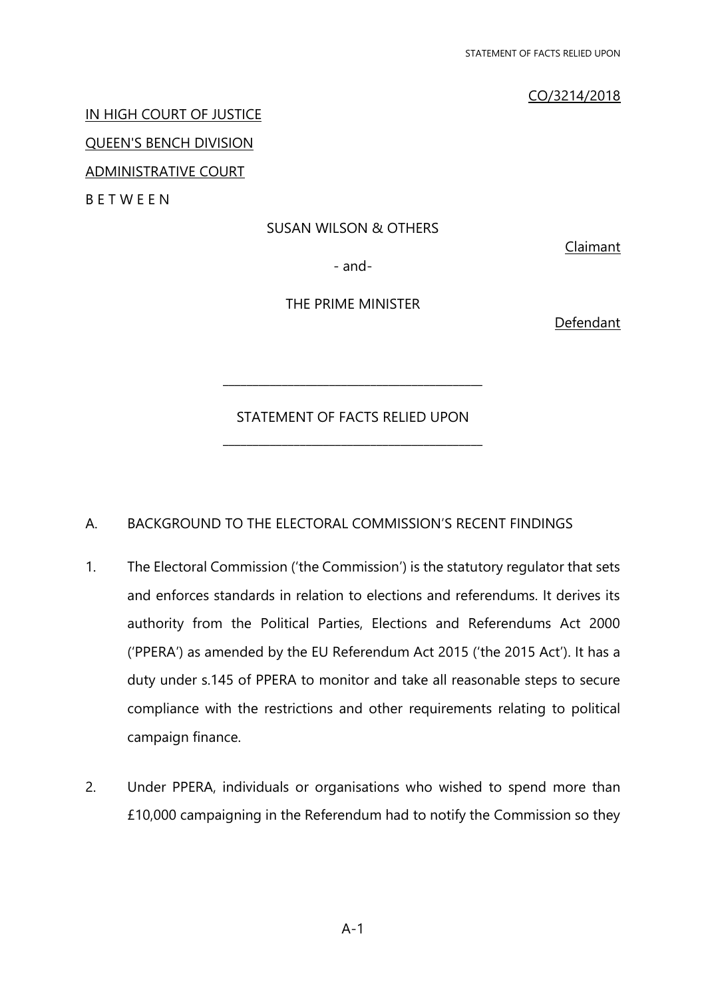# CO/3214/2018

## IN HIGH COURT OF JUSTICE

QUEEN'S BENCH DIVISION

ADMINISTRATIVE COURT

**BETWEEN** 

# SUSAN WILSON & OTHERS

Claimant

- and-

THE PRIME MINISTER

Defendant

STATEMENT OF FACTS RELIED UPON \_\_\_\_\_\_\_\_\_\_\_\_\_\_\_\_\_\_\_\_\_\_\_\_\_\_\_\_\_\_\_\_\_\_\_\_\_\_\_\_\_\_\_\_

\_\_\_\_\_\_\_\_\_\_\_\_\_\_\_\_\_\_\_\_\_\_\_\_\_\_\_\_\_\_\_\_\_\_\_\_\_\_\_\_\_\_\_\_

# A. BACKGROUND TO THE ELECTORAL COMMISSION'S RECENT FINDINGS

- 1. The Electoral Commission ('the Commission') is the statutory regulator that sets and enforces standards in relation to elections and referendums. It derives its authority from the Political Parties, Elections and Referendums Act 2000 ('PPERA') as amended by the EU Referendum Act 2015 ('the 2015 Act'). It has a duty under s.145 of PPERA to monitor and take all reasonable steps to secure compliance with the restrictions and other requirements relating to political campaign finance.
- 2. Under PPERA, individuals or organisations who wished to spend more than £10,000 campaigning in the Referendum had to notify the Commission so they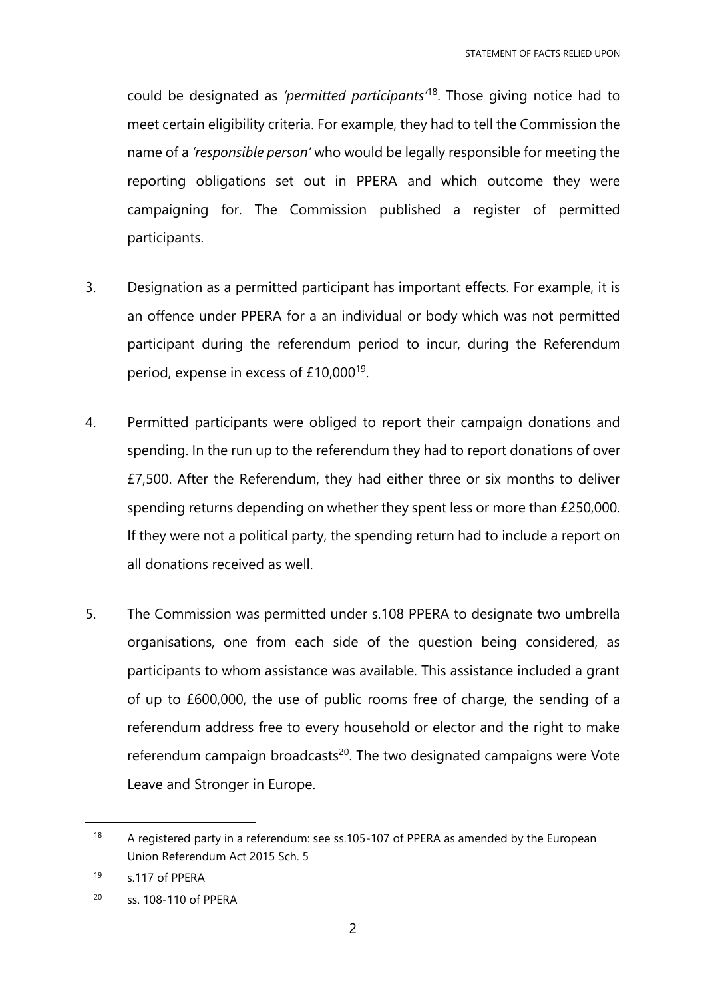could be designated as *'permitted participants'*<sup>18</sup>. Those giving notice had to meet certain eligibility criteria. For example, they had to tell the Commission the name of a *'responsible person'* who would be legally responsible for meeting the reporting obligations set out in PPERA and which outcome they were campaigning for. The Commission published a register of permitted participants.

- 3. Designation as a permitted participant has important effects. For example, it is an offence under PPERA for a an individual or body which was not permitted participant during the referendum period to incur, during the Referendum period, expense in excess of £10,000<sup>19</sup>.
- 4. Permitted participants were obliged to report their campaign donations and spending. In the run up to the referendum they had to report donations of over £7,500. After the Referendum, they had either three or six months to deliver spending returns depending on whether they spent less or more than £250,000. If they were not a political party, the spending return had to include a report on all donations received as well.
- 5. The Commission was permitted under s.108 PPERA to designate two umbrella organisations, one from each side of the question being considered, as participants to whom assistance was available. This assistance included a grant of up to £600,000, the use of public rooms free of charge, the sending of a referendum address free to every household or elector and the right to make referendum campaign broadcasts<sup>20</sup>. The two designated campaigns were Vote Leave and Stronger in Europe.

<sup>&</sup>lt;sup>18</sup> A registered party in a referendum: see ss.105-107 of PPERA as amended by the European Union Referendum Act 2015 Sch. 5

<sup>19</sup> s.117 of PPERA

<sup>20</sup> ss. 108-110 of PPERA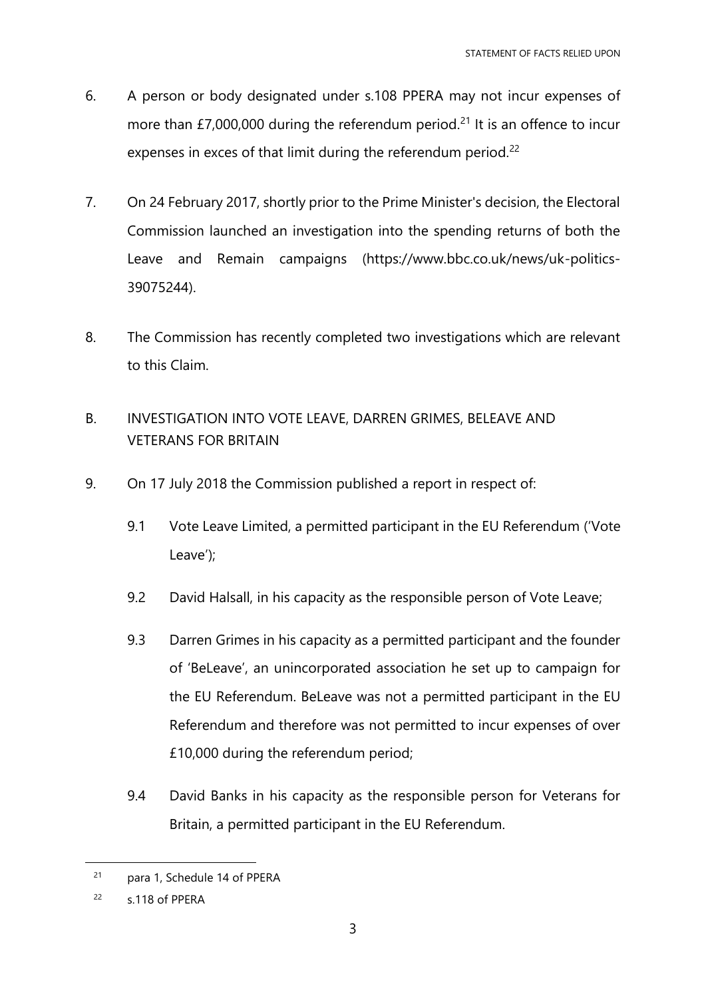- 6. A person or body designated under s.108 PPERA may not incur expenses of more than £7,000,000 during the referendum period.<sup>21</sup> It is an offence to incur expenses in exces of that limit during the referendum period.<sup>22</sup>
- 7. On 24 February 2017, shortly prior to the Prime Minister's decision, the Electoral Commission launched an investigation into the spending returns of both the Leave and Remain campaigns (https://www.bbc.co.uk/news/uk-politics-39075244).
- 8. The Commission has recently completed two investigations which are relevant to this Claim.
- B. INVESTIGATION INTO VOTE LEAVE, DARREN GRIMES, BELEAVE AND VETERANS FOR BRITAIN
- 9. On 17 July 2018 the Commission published a report in respect of:
	- 9.1 Vote Leave Limited, a permitted participant in the EU Referendum ('Vote Leave');
	- 9.2 David Halsall, in his capacity as the responsible person of Vote Leave;
	- 9.3 Darren Grimes in his capacity as a permitted participant and the founder of 'BeLeave', an unincorporated association he set up to campaign for the EU Referendum. BeLeave was not a permitted participant in the EU Referendum and therefore was not permitted to incur expenses of over £10,000 during the referendum period;
	- 9.4 David Banks in his capacity as the responsible person for Veterans for Britain, a permitted participant in the EU Referendum.

<sup>21</sup> para 1, Schedule 14 of PPERA

 $22$  s.118 of PPERA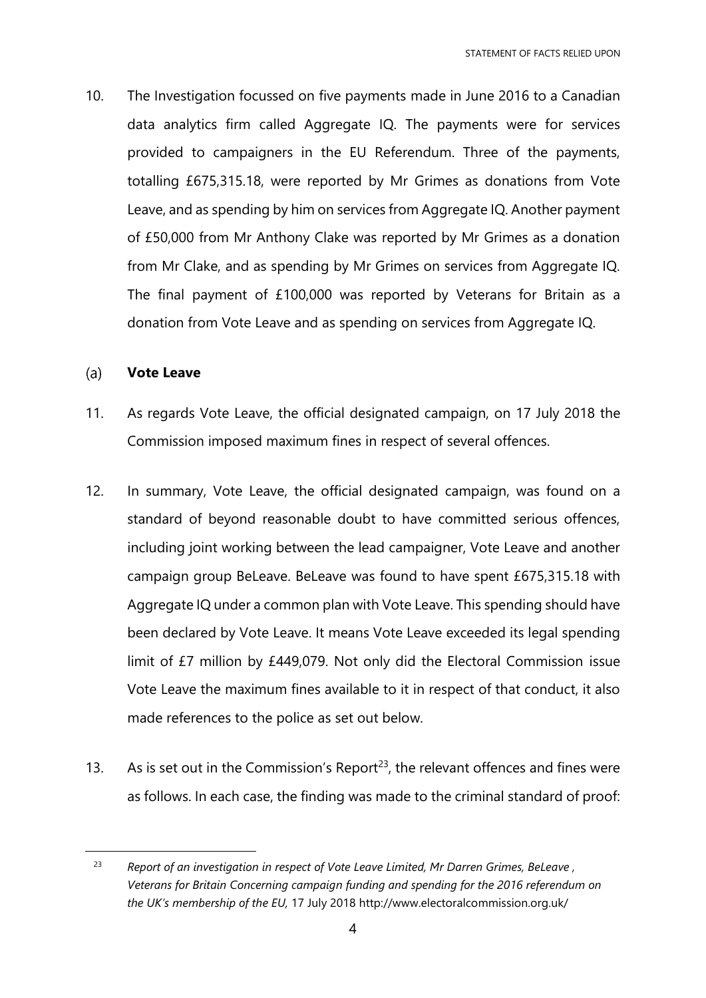10. The Investigation focussed on five payments made in June 2016 to a Canadian data analytics firm called Aggregate IQ. The payments were for services provided to campaigners in the EU Referendum. Three of the payments, totalling £675,315.18, were reported by Mr Grimes as donations from Vote Leave, and as spending by him on services from Aggregate IQ. Another payment of £50,000 from Mr Anthony Clake was reported by Mr Grimes as a donation from Mr Clake, and as spending by Mr Grimes on services from Aggregate IQ. The final payment of £100,000 was reported by Veterans for Britain as a donation from Vote Leave and as spending on services from Aggregate IQ.

### $(a)$ **Vote Leave**

- 11. As regards Vote Leave, the official designated campaign, on 17 July 2018 the Commission imposed maximum fines in respect of several offences.
- 12. In summary, Vote Leave, the official designated campaign, was found on a standard of beyond reasonable doubt to have committed serious offences, including joint working between the lead campaigner, Vote Leave and another campaign group BeLeave. BeLeave was found to have spent £675,315.18 with Aggregate IQ under a common plan with Vote Leave. This spending should have been declared by Vote Leave. It means Vote Leave exceeded its legal spending limit of £7 million by £449,079. Not only did the Electoral Commission issue Vote Leave the maximum fines available to it in respect of that conduct, it also made references to the police as set out below.
- 13. As is set out in the Commission's Report<sup>23</sup>, the relevant offences and fines were as follows. In each case, the finding was made to the criminal standard of proof:

<sup>23</sup> *Report of an investigation in respect of Vote Leave Limited, Mr Darren Grimes, BeLeave , Veterans for Britain Concerning campaign funding and spending for the 2016 referendum on the UK's membership of the EU,* 17 July 2018 http://www.electoralcommission.org.uk/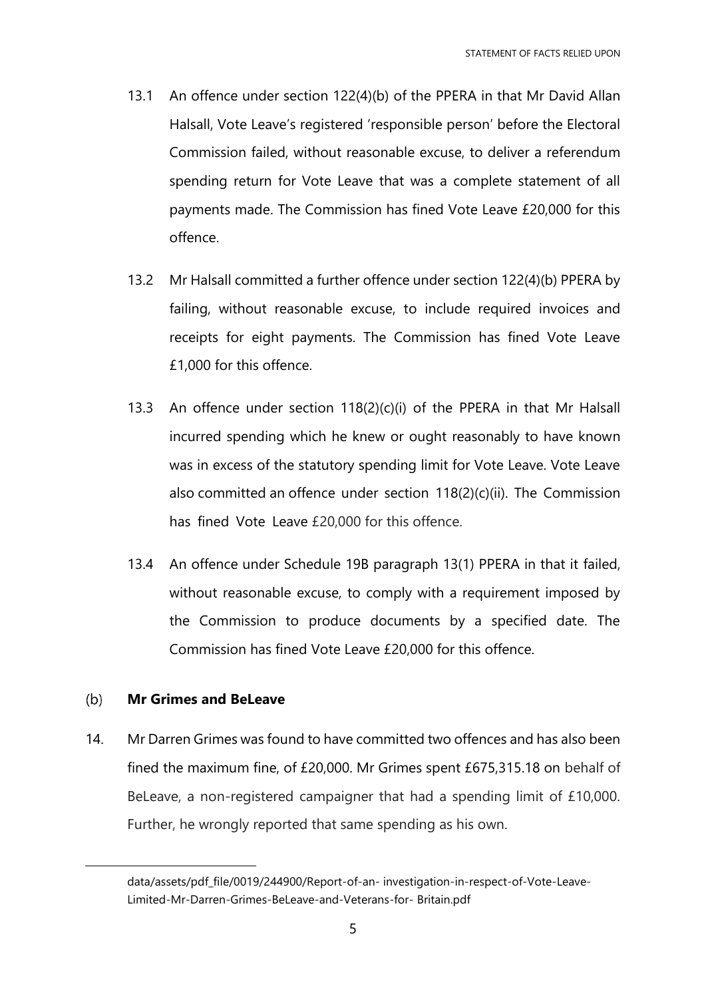- 13.1 An offence under section 122(4)(b) of the PPERA in that Mr David Allan Halsall, Vote Leave's registered 'responsible person' before the Electoral Commission failed, without reasonable excuse, to deliver a referendum spending return for Vote Leave that was a complete statement of all payments made. The Commission has fined Vote Leave £20,000 for this offence.
- 13.2 Mr Halsall committed a further offence under section 122(4)(b) PPERA by failing, without reasonable excuse, to include required invoices and receipts for eight payments. The Commission has fined Vote Leave £1,000 for this offence.
- 13.3 An offence under section 118(2)(c)(i) of the PPERA in that Mr Halsall incurred spending which he knew or ought reasonably to have known was in excess of the statutory spending limit for Vote Leave. Vote Leave also committed an offence under section 118(2)(c)(ii). The Commission has fined Vote Leave £20,000 for this offence.
- 13.4 An offence under Schedule 19B paragraph 13(1) PPERA in that it failed, without reasonable excuse, to comply with a requirement imposed by the Commission to produce documents by a specified date. The Commission has fined Vote Leave £20,000 for this offence.

### $(b)$ **Mr Grimes and BeLeave**

 $\overline{a}$ 

14. Mr Darren Grimes was found to have committed two offences and has also been fined the maximum fine, of £20,000. Mr Grimes spent £675,315.18 on behalf of BeLeave, a non-registered campaigner that had a spending limit of £10,000. Further, he wrongly reported that same spending as his own.

data/assets/pdf\_file/0019/244900/Report-of-an- investigation-in-respect-of-Vote-Leave-Limited-Mr-Darren-Grimes-BeLeave-and-Veterans-for- Britain.pdf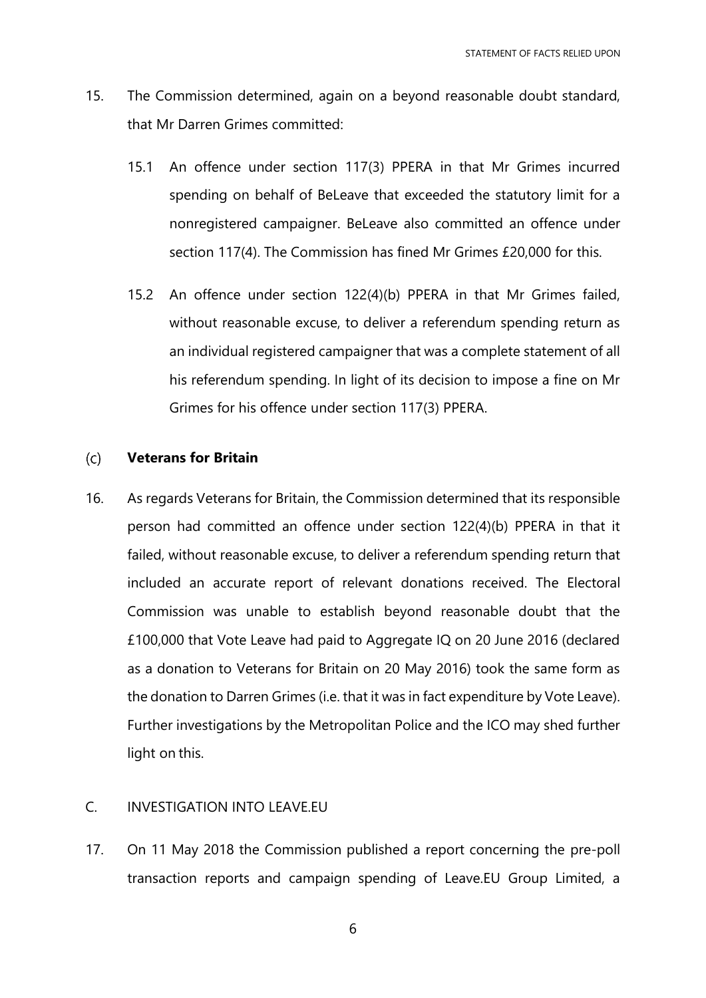- 15. The Commission determined, again on a beyond reasonable doubt standard, that Mr Darren Grimes committed:
	- 15.1 An offence under section 117(3) PPERA in that Mr Grimes incurred spending on behalf of BeLeave that exceeded the statutory limit for a nonregistered campaigner. BeLeave also committed an offence under section 117(4). The Commission has fined Mr Grimes £20,000 for this.
	- 15.2 An offence under section 122(4)(b) PPERA in that Mr Grimes failed, without reasonable excuse, to deliver a referendum spending return as an individual registered campaigner that was a complete statement of all his referendum spending. In light of its decision to impose a fine on Mr Grimes for his offence under section 117(3) PPERA.

#### $(c)$ **Veterans for Britain**

16. As regards Veterans for Britain, the Commission determined that its responsible person had committed an offence under section 122(4)(b) PPERA in that it failed, without reasonable excuse, to deliver a referendum spending return that included an accurate report of relevant donations received. The Electoral Commission was unable to establish beyond reasonable doubt that the £100,000 that Vote Leave had paid to Aggregate IQ on 20 June 2016 (declared as a donation to Veterans for Britain on 20 May 2016) took the same form as the donation to Darren Grimes (i.e. that it was in fact expenditure by Vote Leave). Further investigations by the Metropolitan Police and the ICO may shed further light on this.

# C. INVESTIGATION INTO LEAVE.EU

17. On 11 May 2018 the Commission published a report concerning the pre-poll transaction reports and campaign spending of Leave.EU Group Limited, a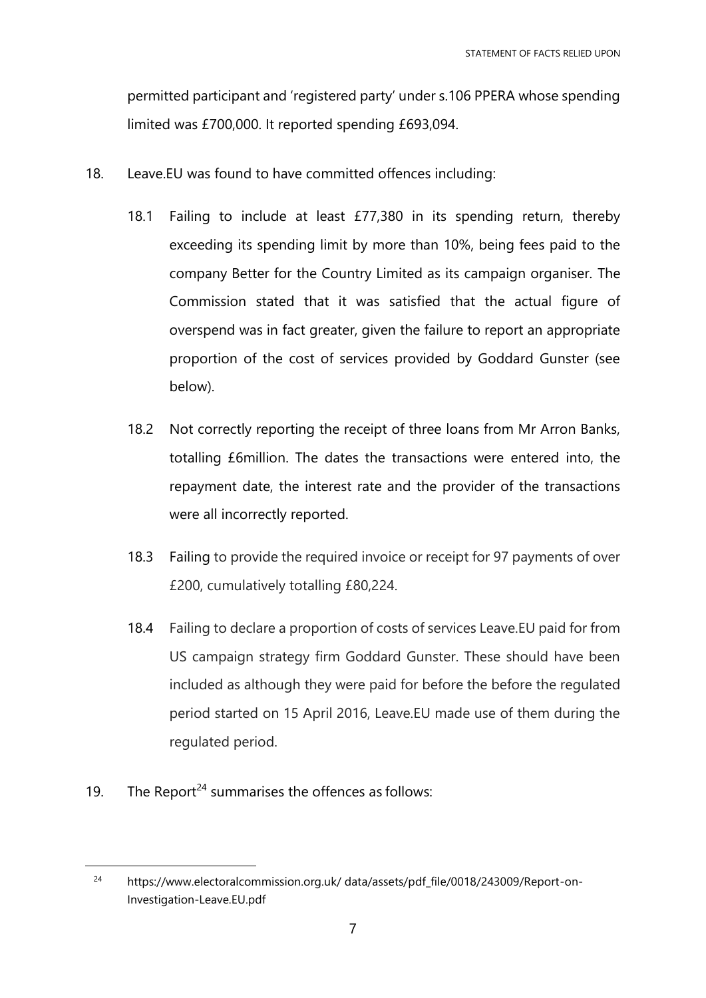permitted participant and 'registered party' under s.106 PPERA whose spending limited was £700,000. It reported spending £693,094.

- 18. Leave.EU was found to have committed offences including:
	- 18.1 Failing to include at least £77,380 in its spending return, thereby exceeding its spending limit by more than 10%, being fees paid to the company Better for the Country Limited as its campaign organiser. The Commission stated that it was satisfied that the actual figure of overspend was in fact greater, given the failure to report an appropriate proportion of the cost of services provided by Goddard Gunster (see below).
	- 18.2 Not correctly reporting the receipt of three loans from Mr Arron Banks, totalling £6million. The dates the transactions were entered into, the repayment date, the interest rate and the provider of the transactions were all incorrectly reported.
	- 18.3 Failing to provide the required invoice or receipt for 97 payments of over £200, cumulatively totalling £80,224.
	- 18.4 Failing to declare a proportion of costs of services Leave.EU paid for from US campaign strategy firm Goddard Gunster. These should have been included as although they were paid for before the before the regulated period started on 15 April 2016, Leave.EU made use of them during the regulated period.
- 19. The Report<sup>24</sup> summarises the offences as follows:

<sup>24</sup> https://www.electoralcommission.org.uk/ data/assets/pdf\_file/0018/243009/Report-on-Investigation-Leave.EU.pdf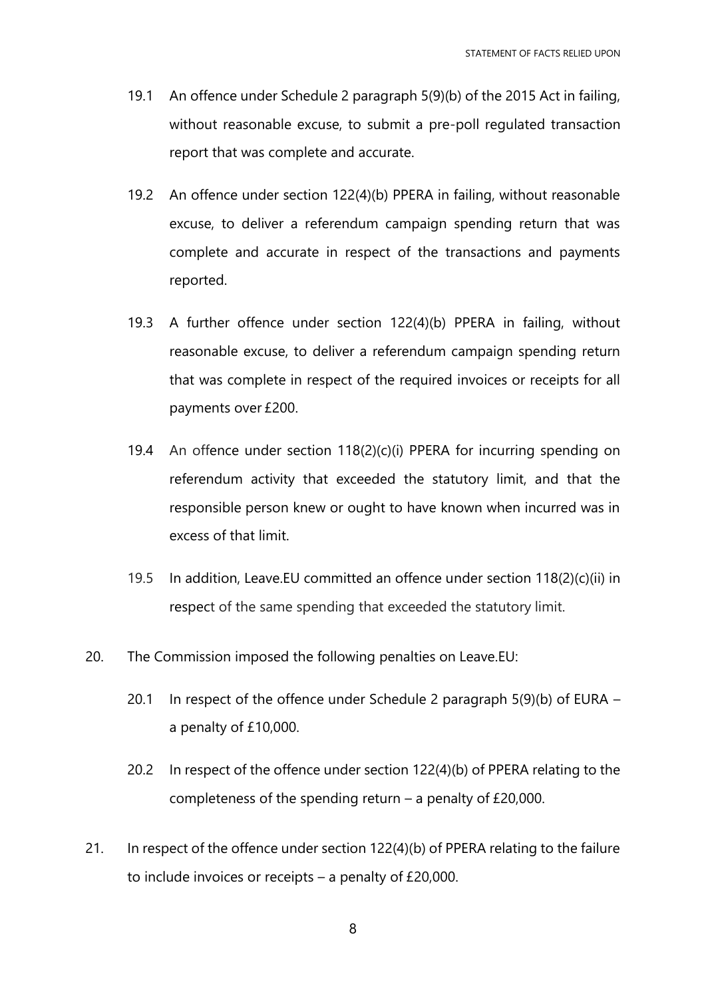- 19.1 An offence under Schedule 2 paragraph 5(9)(b) of the 2015 Act in failing, without reasonable excuse, to submit a pre-poll regulated transaction report that was complete and accurate.
- 19.2 An offence under section 122(4)(b) PPERA in failing, without reasonable excuse, to deliver a referendum campaign spending return that was complete and accurate in respect of the transactions and payments reported.
- 19.3 A further offence under section 122(4)(b) PPERA in failing, without reasonable excuse, to deliver a referendum campaign spending return that was complete in respect of the required invoices or receipts for all payments over £200.
- 19.4 An offence under section 118(2)(c)(i) PPERA for incurring spending on referendum activity that exceeded the statutory limit, and that the responsible person knew or ought to have known when incurred was in excess of that limit.
- 19.5 In addition, Leave.EU committed an offence under section 118(2)(c)(ii) in respect of the same spending that exceeded the statutory limit.
- 20. The Commission imposed the following penalties on Leave.EU:
	- 20.1 In respect of the offence under Schedule 2 paragraph 5(9)(b) of EURA a penalty of £10,000.
	- 20.2 In respect of the offence under section 122(4)(b) of PPERA relating to the completeness of the spending return – a penalty of £20,000.
- 21. In respect of the offence under section 122(4)(b) of PPERA relating to the failure to include invoices or receipts – a penalty of £20,000.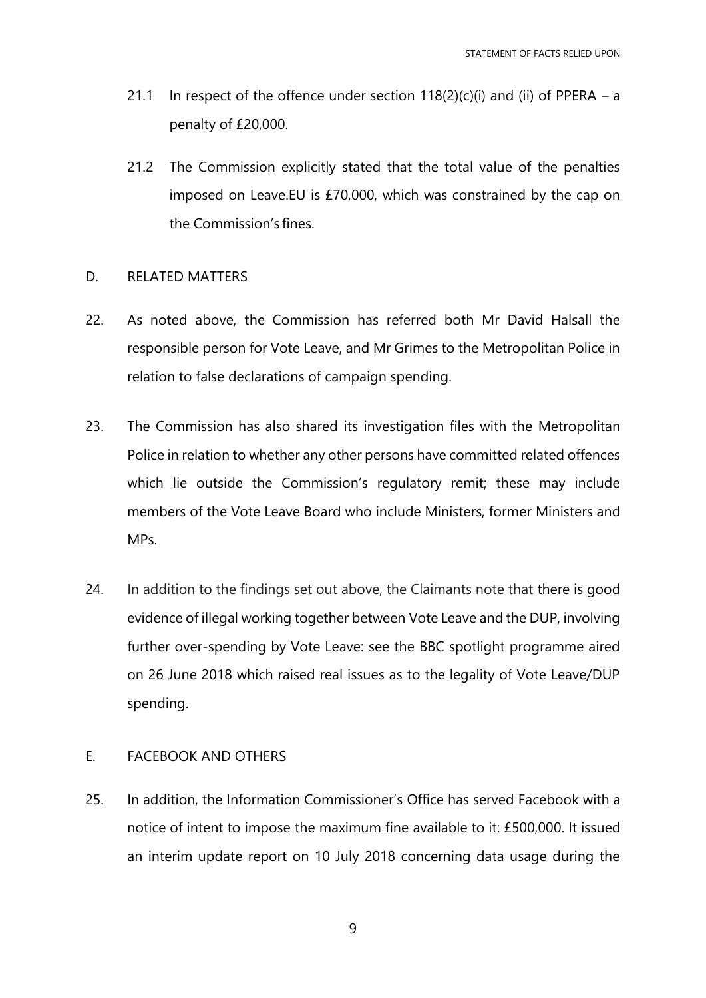- 21.1 In respect of the offence under section  $118(2)(c)(i)$  and (ii) of PPERA a penalty of £20,000.
- 21.2 The Commission explicitly stated that the total value of the penalties imposed on Leave.EU is £70,000, which was constrained by the cap on the Commission's fines.

# D. RELATED MATTERS

- 22. As noted above, the Commission has referred both Mr David Halsall the responsible person for Vote Leave, and Mr Grimes to the Metropolitan Police in relation to false declarations of campaign spending.
- 23. The Commission has also shared its investigation files with the Metropolitan Police in relation to whether any other persons have committed related offences which lie outside the Commission's regulatory remit; these may include members of the Vote Leave Board who include Ministers, former Ministers and MPs.
- 24. In addition to the findings set out above, the Claimants note that there is good evidence of illegal working together between Vote Leave and the DUP, involving further over-spending by Vote Leave: see the BBC spotlight programme aired on 26 June 2018 which raised real issues as to the legality of Vote Leave/DUP spending.

# E. FACEBOOK AND OTHERS

25. In addition, the Information Commissioner's Office has served Facebook with a notice of intent to impose the maximum fine available to it: £500,000. It issued an interim update report on 10 July 2018 concerning data usage during the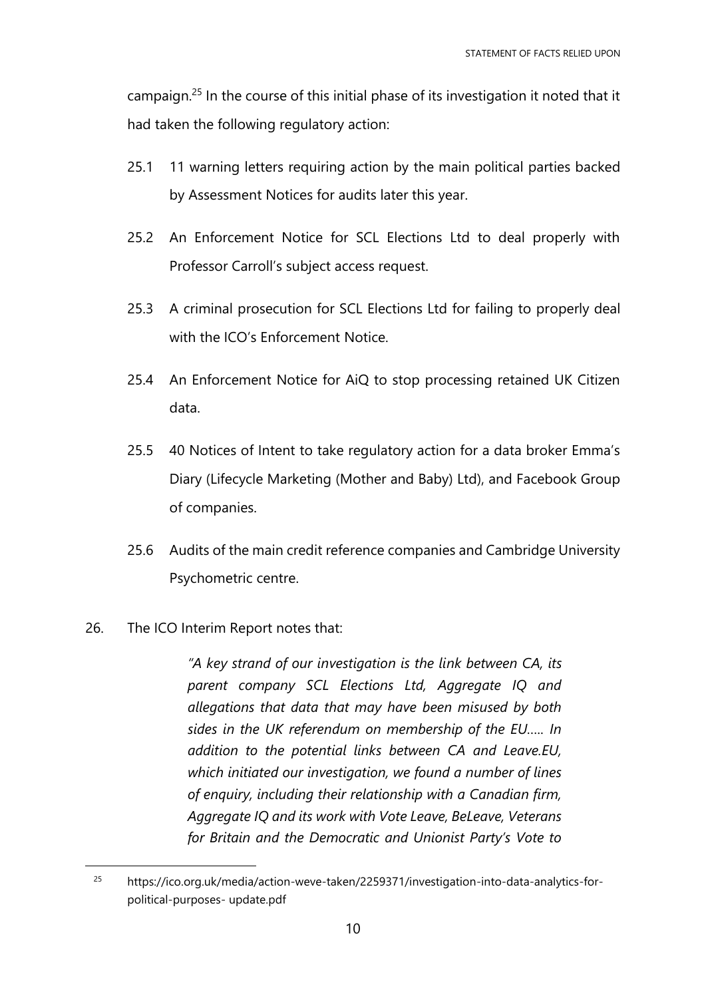campaign.<sup>25</sup> In the course of this initial phase of its investigation it noted that it had taken the following regulatory action:

- 25.1 11 warning letters requiring action by the main political parties backed by Assessment Notices for audits later this year.
- 25.2 An Enforcement Notice for SCL Elections Ltd to deal properly with Professor Carroll's subject access request.
- 25.3 A criminal prosecution for SCL Elections Ltd for failing to properly deal with the ICO's Enforcement Notice.
- 25.4 An Enforcement Notice for AiQ to stop processing retained UK Citizen data.
- 25.5 40 Notices of Intent to take regulatory action for a data broker Emma's Diary (Lifecycle Marketing (Mother and Baby) Ltd), and Facebook Group of companies.
- 25.6 Audits of the main credit reference companies and Cambridge University Psychometric centre.
- 26. The ICO Interim Report notes that:

 $\overline{a}$ 

*"A key strand of our investigation is the link between CA, its parent company SCL Elections Ltd, Aggregate IQ and allegations that data that may have been misused by both sides in the UK referendum on membership of the EU….. In addition to the potential links between CA and Leave.EU, which initiated our investigation, we found a number of lines of enquiry, including their relationship with a Canadian firm, Aggregate IQ and its work with Vote Leave, BeLeave, Veterans for Britain and the Democratic and Unionist Party's Vote to* 

<sup>&</sup>lt;sup>25</sup> https://ico.org.uk/media/action-weve-taken/2259371/investigation-into-data-analytics-forpolitical-purposes- update.pdf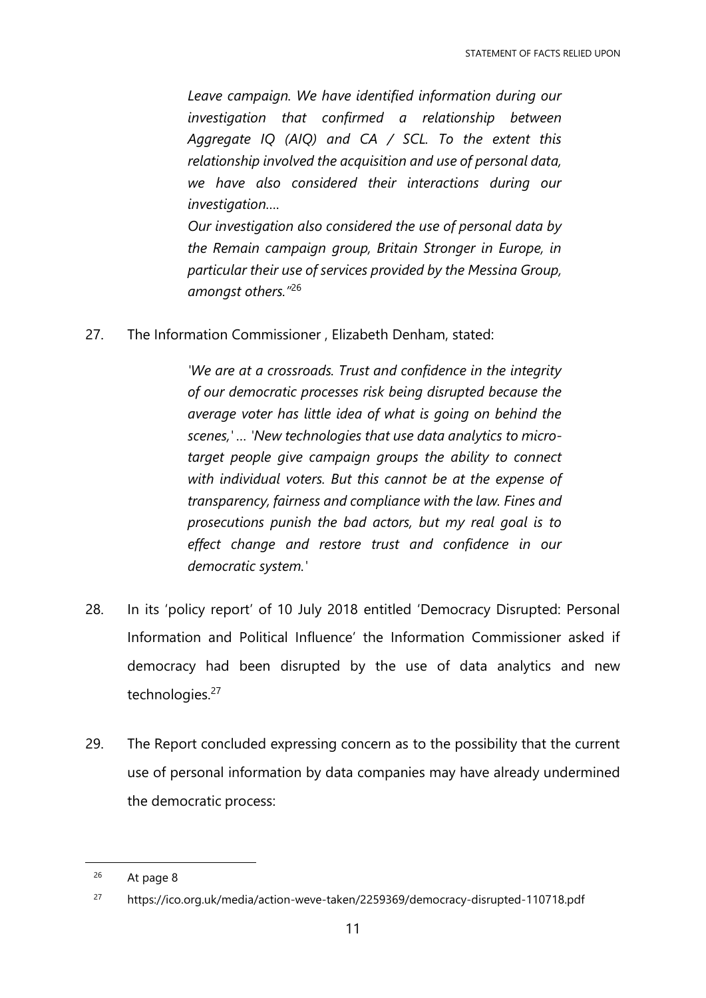*Leave campaign. We have identified information during our investigation that confirmed a relationship between Aggregate IQ (AIQ) and CA / SCL. To the extent this relationship involved the acquisition and use of personal data, we have also considered their interactions during our investigation….*

*Our investigation also considered the use of personal data by the Remain campaign group, Britain Stronger in Europe, in particular their use of services provided by the Messina Group, amongst others."*<sup>26</sup>

27. The Information Commissioner , Elizabeth Denham, stated:

*'We are at a crossroads. Trust and confidence in the integrity of our democratic processes risk being disrupted because the average voter has little idea of what is going on behind the scenes,' … 'New technologies that use data analytics to microtarget people give campaign groups the ability to connect with individual voters. But this cannot be at the expense of transparency, fairness and compliance with the law. Fines and prosecutions punish the bad actors, but my real goal is to effect change and restore trust and confidence in our democratic system.'*

- 28. In its 'policy report' of 10 July 2018 entitled 'Democracy Disrupted: Personal Information and Political Influence' the Information Commissioner asked if democracy had been disrupted by the use of data analytics and new technologies.<sup>27</sup>
- 29. The Report concluded expressing concern as to the possibility that the current use of personal information by data companies may have already undermined the democratic process:

<sup>26</sup> At page 8

<sup>27</sup> https://ico.org.uk/media/action-weve-taken/2259369/democracy-disrupted-110718.pdf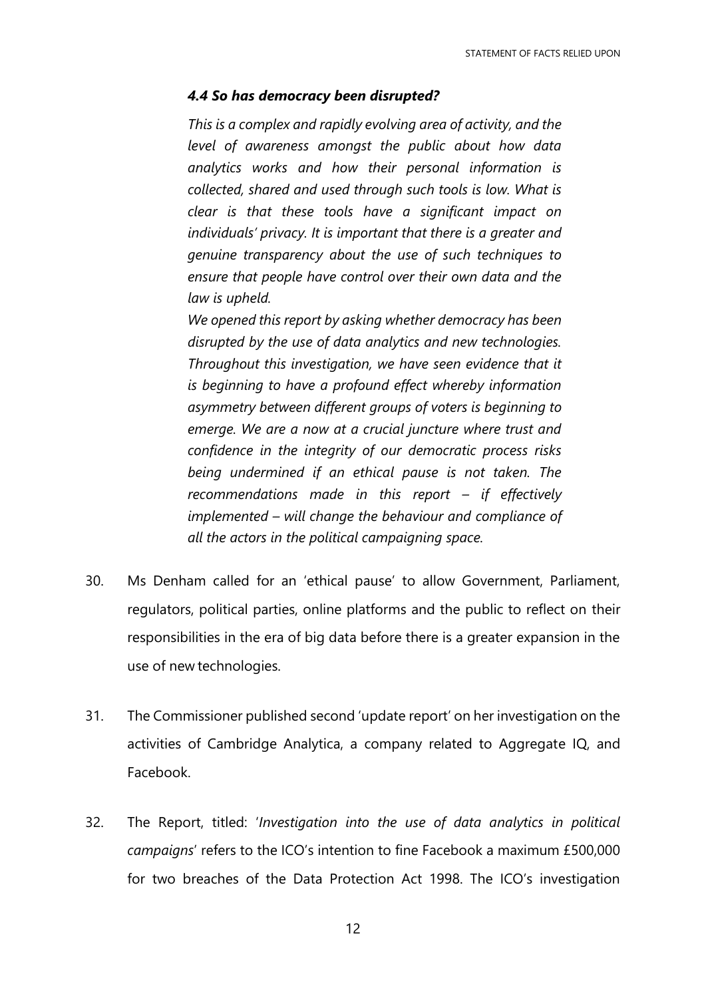## *4.4 So has democracy been disrupted?*

*This is a complex and rapidly evolving area of activity, and the level of awareness amongst the public about how data analytics works and how their personal information is collected, shared and used through such tools is low. What is clear is that these tools have a significant impact on individuals' privacy. It is important that there is a greater and genuine transparency about the use of such techniques to ensure that people have control over their own data and the law is upheld.*

*We opened this report by asking whether democracy has been disrupted by the use of data analytics and new technologies. Throughout this investigation, we have seen evidence that it is beginning to have a profound effect whereby information asymmetry between different groups of voters is beginning to emerge. We are a now at a crucial juncture where trust and confidence in the integrity of our democratic process risks being undermined if an ethical pause is not taken. The recommendations made in this report – if effectively implemented – will change the behaviour and compliance of all the actors in the political campaigning space.*

- 30. Ms Denham called for an 'ethical pause' to allow Government, Parliament, regulators, political parties, online platforms and the public to reflect on their responsibilities in the era of big data before there is a greater expansion in the use of new technologies.
- 31. The Commissioner published second 'update report' on her investigation on the activities of Cambridge Analytica, a company related to Aggregate IQ, and Facebook.
- 32. The Report, titled: '*Investigation into the use of data analytics in political campaigns*' refers to the ICO's intention to fine Facebook a maximum £500,000 for two breaches of the Data Protection Act 1998. The ICO's investigation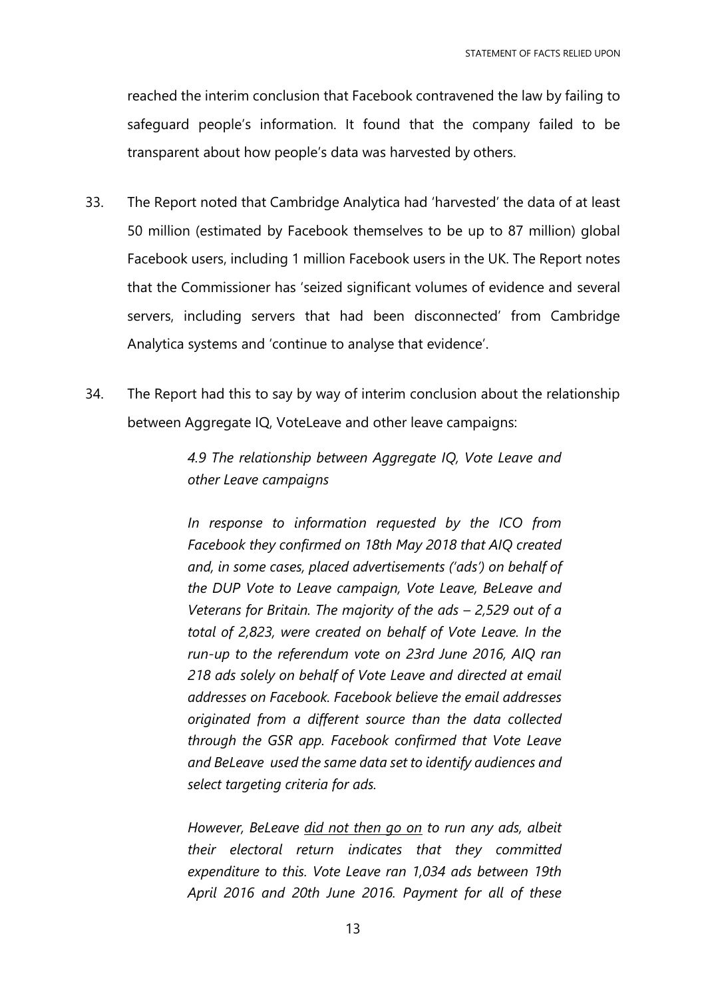reached the interim conclusion that Facebook contravened the law by failing to safeguard people's information. It found that the company failed to be transparent about how people's data was harvested by others.

- 33. The Report noted that Cambridge Analytica had 'harvested' the data of at least 50 million (estimated by Facebook themselves to be up to 87 million) global Facebook users, including 1 million Facebook users in the UK. The Report notes that the Commissioner has 'seized significant volumes of evidence and several servers, including servers that had been disconnected' from Cambridge Analytica systems and 'continue to analyse that evidence'.
- 34. The Report had this to say by way of interim conclusion about the relationship between Aggregate IQ, VoteLeave and other leave campaigns:

*4.9 The relationship between Aggregate IQ, Vote Leave and other Leave campaigns*

*In response to information requested by the ICO from Facebook they confirmed on 18th May 2018 that AIQ created and, in some cases, placed advertisements ('ads') on behalf of the DUP Vote to Leave campaign, Vote Leave, BeLeave and Veterans for Britain. The majority of the ads – 2,529 out of a total of 2,823, were created on behalf of Vote Leave. In the run-up to the referendum vote on 23rd June 2016, AIQ ran 218 ads solely on behalf of Vote Leave and directed at email addresses on Facebook. Facebook believe the email addresses originated from a different source than the data collected through the GSR app. Facebook confirmed that Vote Leave and BeLeave used the same data set to identify audiences and select targeting criteria for ads.*

*However, BeLeave did not then go on to run any ads, albeit their electoral return indicates that they committed expenditure to this. Vote Leave ran 1,034 ads between 19th April 2016 and 20th June 2016. Payment for all of these*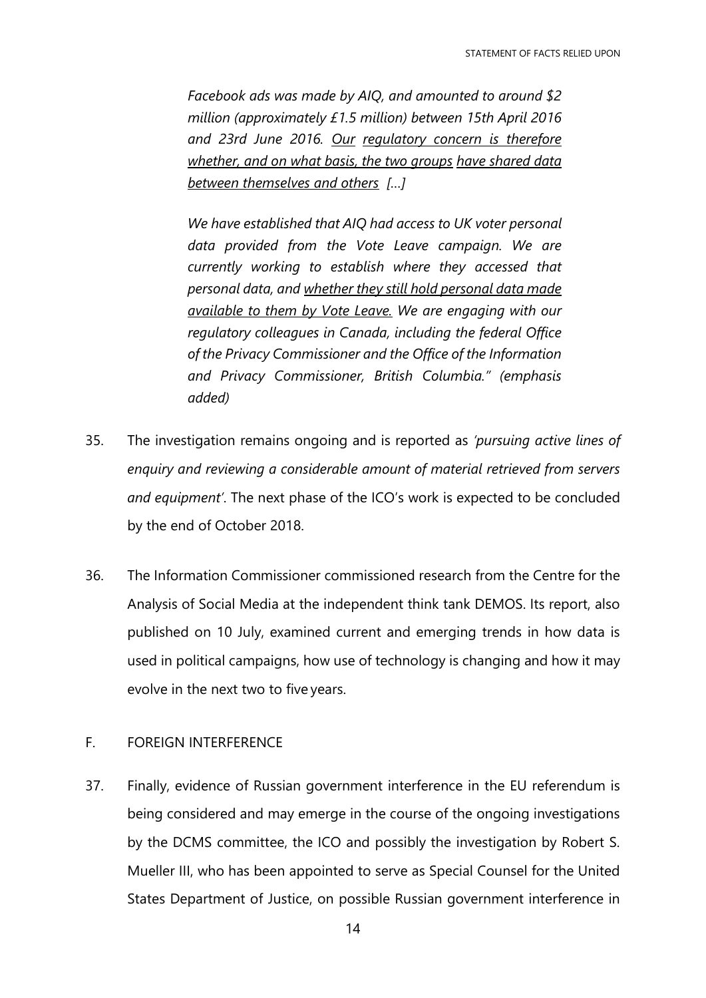*Facebook ads was made by AIQ, and amounted to around \$2 million (approximately £1.5 million) between 15th April 2016 and 23rd June 2016. Our regulatory concern is therefore whether, and on what basis, the two groups have shared data between themselves and others […]*

*We have established that AIQ had access to UK voter personal data provided from the Vote Leave campaign. We are currently working to establish where they accessed that personal data, and whether they still hold personal data made available to them by Vote Leave. We are engaging with our regulatory colleagues in Canada, including the federal Office of the Privacy Commissioner and the Office of the Information and Privacy Commissioner, British Columbia." (emphasis added)*

- 35. The investigation remains ongoing and is reported as *'pursuing active lines of enquiry and reviewing a considerable amount of material retrieved from servers and equipment'*. The next phase of the ICO's work is expected to be concluded by the end of October 2018.
- 36. The Information Commissioner commissioned research from the Centre for the Analysis of Social Media at the independent think tank DEMOS. Its report, also published on 10 July, examined current and emerging trends in how data is used in political campaigns, how use of technology is changing and how it may evolve in the next two to five years.

# F. FOREIGN INTERFERENCE

37. Finally, evidence of Russian government interference in the EU referendum is being considered and may emerge in the course of the ongoing investigations by the DCMS committee, the ICO and possibly the investigation by Robert S. Mueller III, who has been appointed to serve as Special Counsel for the United States Department of Justice, on possible Russian government interference in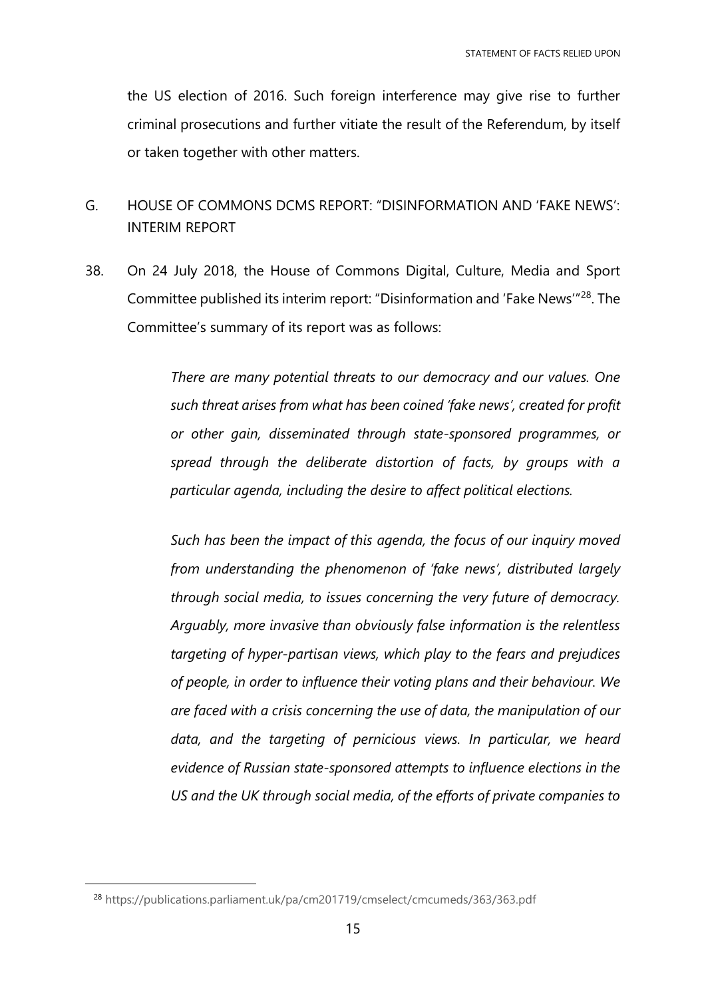the US election of 2016. Such foreign interference may give rise to further criminal prosecutions and further vitiate the result of the Referendum, by itself or taken together with other matters.

- G. HOUSE OF COMMONS DCMS REPORT: "DISINFORMATION AND 'FAKE NEWS': INTERIM REPORT
- 38. On 24 July 2018, the House of Commons Digital, Culture, Media and Sport Committee published its interim report: "Disinformation and 'Fake News'"<sup>28</sup>. The Committee's summary of its report was as follows:

*There are many potential threats to our democracy and our values. One such threat arises from what has been coined 'fake news', created for profit or other gain, disseminated through state-sponsored programmes, or spread through the deliberate distortion of facts, by groups with a particular agenda, including the desire to affect political elections.* 

*Such has been the impact of this agenda, the focus of our inquiry moved from understanding the phenomenon of 'fake news', distributed largely through social media, to issues concerning the very future of democracy. Arguably, more invasive than obviously false information is the relentless targeting of hyper-partisan views, which play to the fears and prejudices of people, in order to influence their voting plans and their behaviour. We are faced with a crisis concerning the use of data, the manipulation of our data, and the targeting of pernicious views. In particular, we heard evidence of Russian state-sponsored attempts to influence elections in the US and the UK through social media, of the efforts of private companies to* 

<sup>28</sup> <https://publications.parliament.uk/pa/cm201719/cmselect/cmcumeds/363/363.pdf>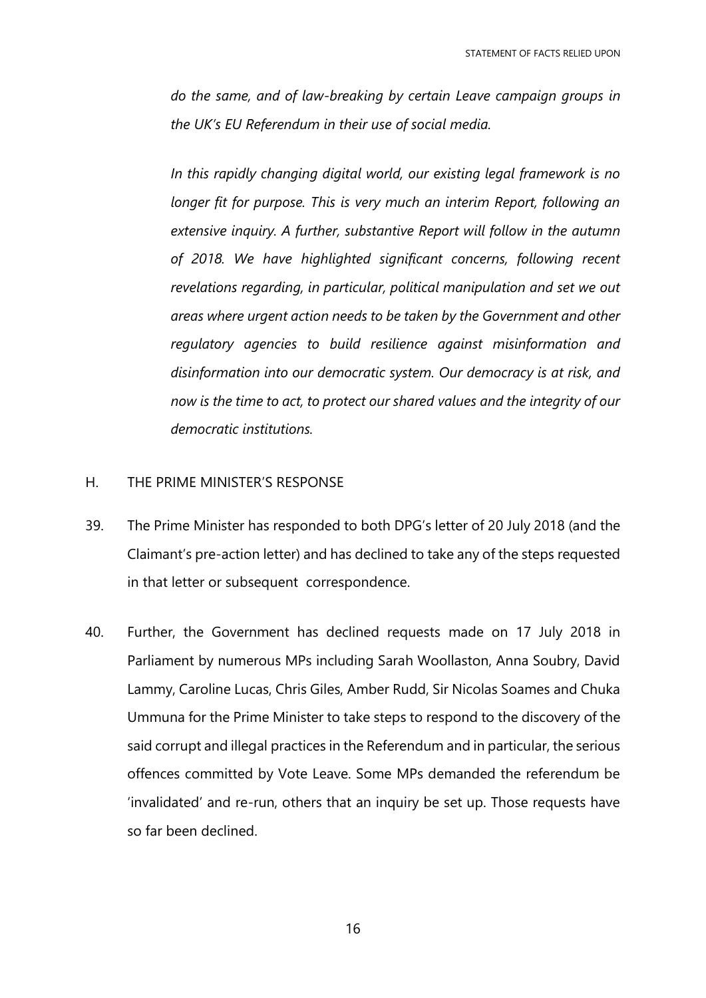*do the same, and of law-breaking by certain Leave campaign groups in the UK's EU Referendum in their use of social media.* 

*In this rapidly changing digital world, our existing legal framework is no longer fit for purpose. This is very much an interim Report, following an extensive inquiry. A further, substantive Report will follow in the autumn of 2018. We have highlighted significant concerns, following recent revelations regarding, in particular, political manipulation and set we out areas where urgent action needs to be taken by the Government and other regulatory agencies to build resilience against misinformation and disinformation into our democratic system. Our democracy is at risk, and now is the time to act, to protect our shared values and the integrity of our democratic institutions.*

# H. THE PRIME MINISTER'S RESPONSE

- 39. The Prime Minister has responded to both DPG's letter of 20 July 2018 (and the Claimant's pre-action letter) and has declined to take any of the steps requested in that letter or subsequent correspondence.
- 40. Further, the Government has declined requests made on 17 July 2018 in Parliament by numerous MPs including Sarah Woollaston, Anna Soubry, David Lammy, Caroline Lucas, Chris Giles, Amber Rudd, Sir Nicolas Soames and Chuka Ummuna for the Prime Minister to take steps to respond to the discovery of the said corrupt and illegal practices in the Referendum and in particular, the serious offences committed by Vote Leave. Some MPs demanded the referendum be 'invalidated' and re-run, others that an inquiry be set up. Those requests have so far been declined.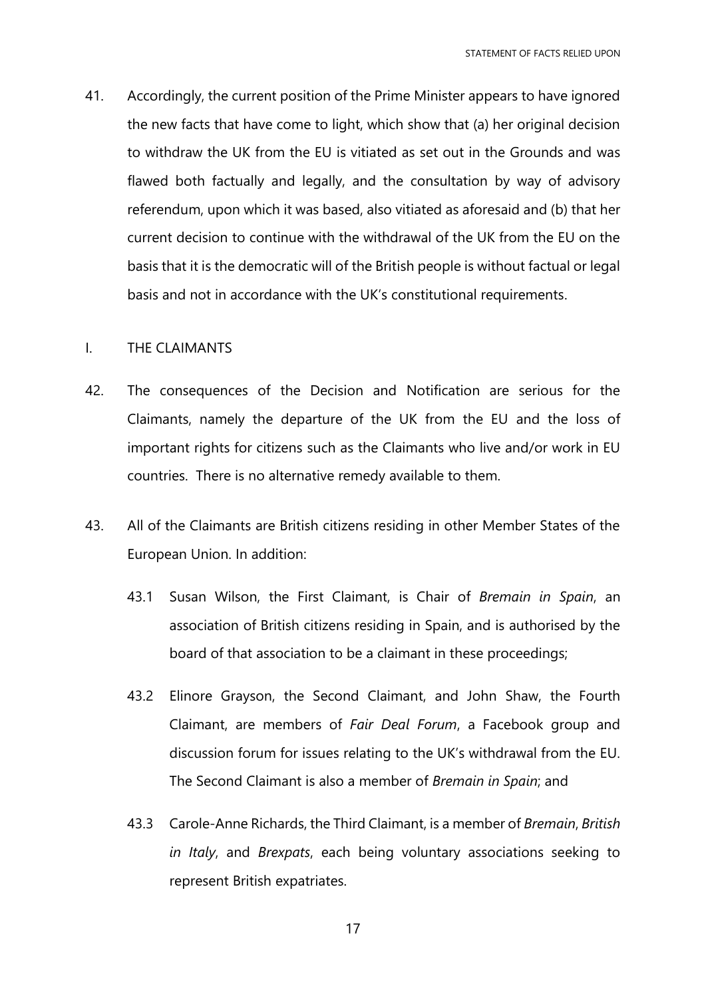41. Accordingly, the current position of the Prime Minister appears to have ignored the new facts that have come to light, which show that (a) her original decision to withdraw the UK from the EU is vitiated as set out in the Grounds and was flawed both factually and legally, and the consultation by way of advisory referendum, upon which it was based, also vitiated as aforesaid and (b) that her current decision to continue with the withdrawal of the UK from the EU on the basis that it is the democratic will of the British people is without factual or legal basis and not in accordance with the UK's constitutional requirements.

### I. THE CLAIMANTS

- 42. The consequences of the Decision and Notification are serious for the Claimants, namely the departure of the UK from the EU and the loss of important rights for citizens such as the Claimants who live and/or work in EU countries. There is no alternative remedy available to them.
- 43. All of the Claimants are British citizens residing in other Member States of the European Union. In addition:
	- 43.1 Susan Wilson, the First Claimant, is Chair of *Bremain in Spain*, an association of British citizens residing in Spain, and is authorised by the board of that association to be a claimant in these proceedings;
	- 43.2 Elinore Grayson, the Second Claimant, and John Shaw, the Fourth Claimant, are members of *Fair Deal Forum*, a Facebook group and discussion forum for issues relating to the UK's withdrawal from the EU. The Second Claimant is also a member of *Bremain in Spain*; and
	- 43.3 Carole-Anne Richards, the Third Claimant, is a member of *Bremain*, *British in Italy*, and *Brexpats*, each being voluntary associations seeking to represent British expatriates.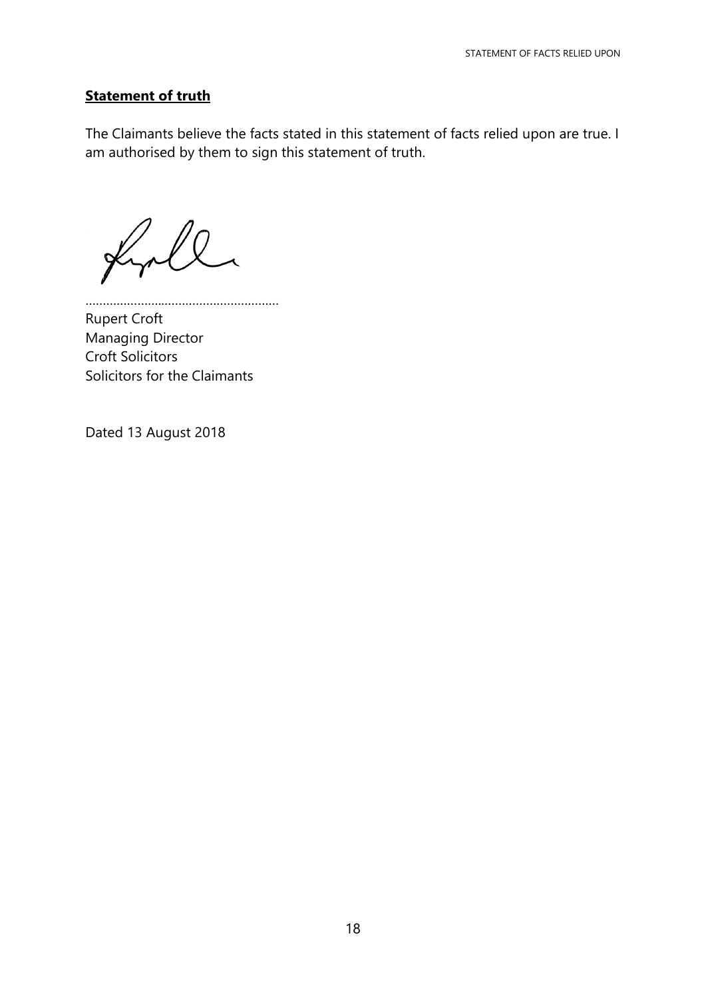# **Statement of truth**

The Claimants believe the facts stated in this statement of facts relied upon are true. I am authorised by them to sign this statement of truth.

 $\mathbb{U}$  $\cancel{\times}$ 

…………………..…………………………… Rupert Croft Managing Director Croft Solicitors Solicitors for the Claimants

Dated 13 August 2018